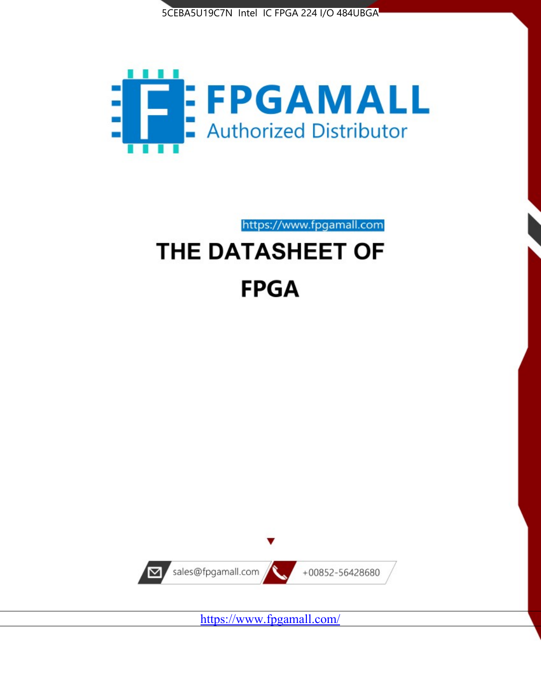



https://www.fpgamall.com

# THE DATASHEET OF **FPGA**



<https://www.fpgamall.com/>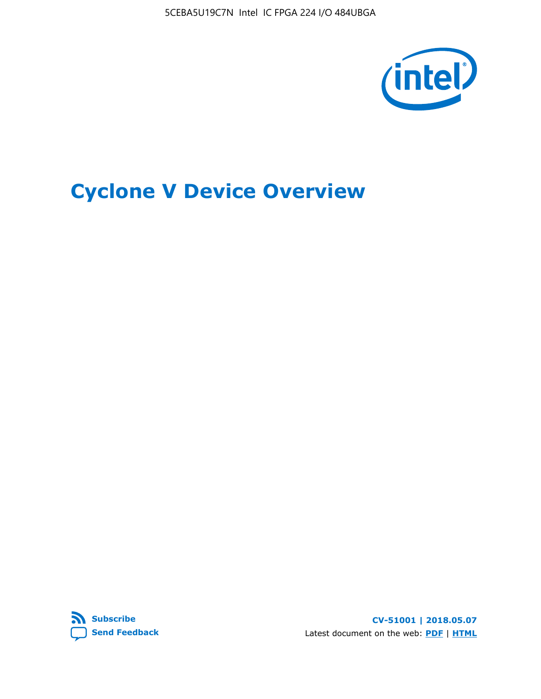5CEBA5U19C7N Intel IC FPGA 224 I/O 484UBGA



# **Cyclone V Device Overview**



**CV-51001 | 2018.05.07** Latest document on the web: **[PDF](https://www.altera.com/en_US/pdfs/literature/hb/cyclone-v/cv_51001.pdf)** | **[HTML](https://www.altera.com/documentation/sam1403480548153.html)**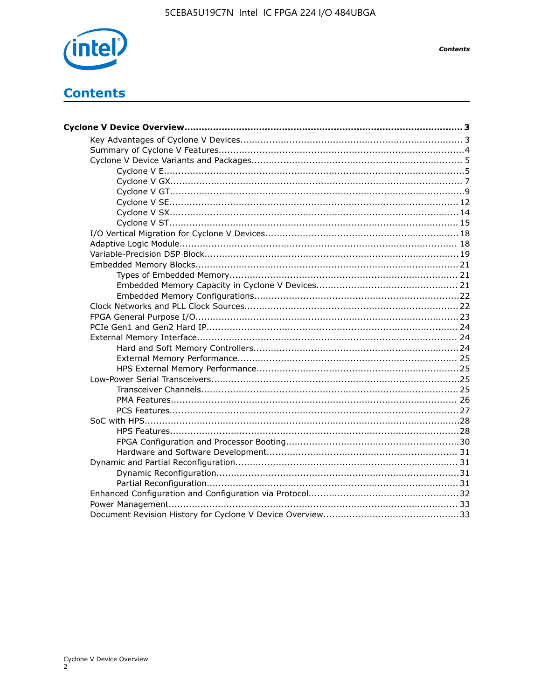

**Contents** 

## **Contents**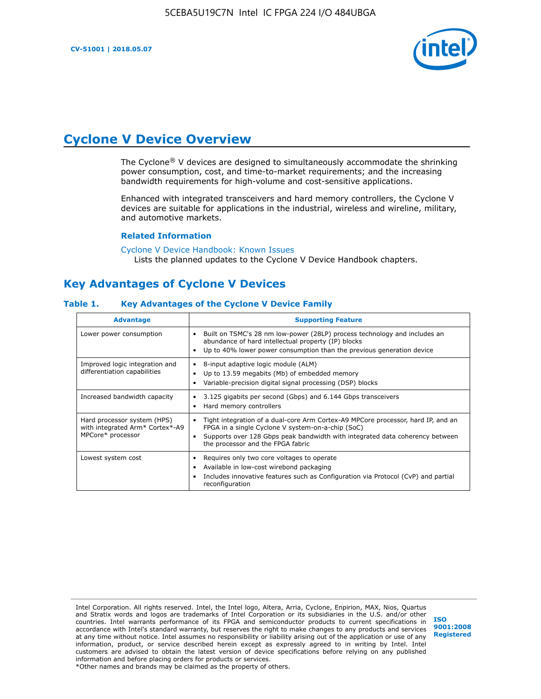

### **Cyclone V Device Overview**

The Cyclone® V devices are designed to simultaneously accommodate the shrinking power consumption, cost, and time-to-market requirements; and the increasing bandwidth requirements for high-volume and cost-sensitive applications.

Enhanced with integrated transceivers and hard memory controllers, the Cyclone V devices are suitable for applications in the industrial, wireless and wireline, military, and automotive markets.

#### **Related Information**

[Cyclone V Device Handbook: Known Issues](https://www.altera.com/support/support-resources/knowledge-base/solutions/rd12152011_347.html) Lists the planned updates to the Cyclone V Device Handbook chapters.

### **Key Advantages of Cyclone V Devices**

#### **Table 1. Key Advantages of the Cyclone V Device Family**

| <b>Advantage</b>                                                                    | <b>Supporting Feature</b>                                                                                                                                                                                                                                                    |
|-------------------------------------------------------------------------------------|------------------------------------------------------------------------------------------------------------------------------------------------------------------------------------------------------------------------------------------------------------------------------|
| Lower power consumption                                                             | Built on TSMC's 28 nm low-power (28LP) process technology and includes an<br>$\bullet$<br>abundance of hard intellectual property (IP) blocks<br>Up to 40% lower power consumption than the previous generation device                                                       |
| Improved logic integration and<br>differentiation capabilities                      | 8-input adaptive logic module (ALM)<br>٠<br>Up to 13.59 megabits (Mb) of embedded memory<br>٠<br>Variable-precision digital signal processing (DSP) blocks                                                                                                                   |
| Increased bandwidth capacity                                                        | 3.125 gigabits per second (Gbps) and 6.144 Gbps transceivers<br>٠<br>Hard memory controllers<br>٠                                                                                                                                                                            |
| Hard processor system (HPS)<br>with integrated Arm* Cortex*-A9<br>MPCore* processor | Tight integration of a dual-core Arm Cortex-A9 MPCore processor, hard IP, and an<br>$\bullet$<br>FPGA in a single Cyclone V system-on-a-chip (SoC)<br>Supports over 128 Gbps peak bandwidth with integrated data coherency between<br>٠<br>the processor and the FPGA fabric |
| Lowest system cost                                                                  | Requires only two core voltages to operate<br>٠<br>Available in low-cost wirebond packaging<br>٠<br>Includes innovative features such as Configuration via Protocol (CvP) and partial<br>٠<br>reconfiguration                                                                |

Intel Corporation. All rights reserved. Intel, the Intel logo, Altera, Arria, Cyclone, Enpirion, MAX, Nios, Quartus and Stratix words and logos are trademarks of Intel Corporation or its subsidiaries in the U.S. and/or other countries. Intel warrants performance of its FPGA and semiconductor products to current specifications in accordance with Intel's standard warranty, but reserves the right to make changes to any products and services at any time without notice. Intel assumes no responsibility or liability arising out of the application or use of any information, product, or service described herein except as expressly agreed to in writing by Intel. Intel customers are advised to obtain the latest version of device specifications before relying on any published information and before placing orders for products or services. \*Other names and brands may be claimed as the property of others.

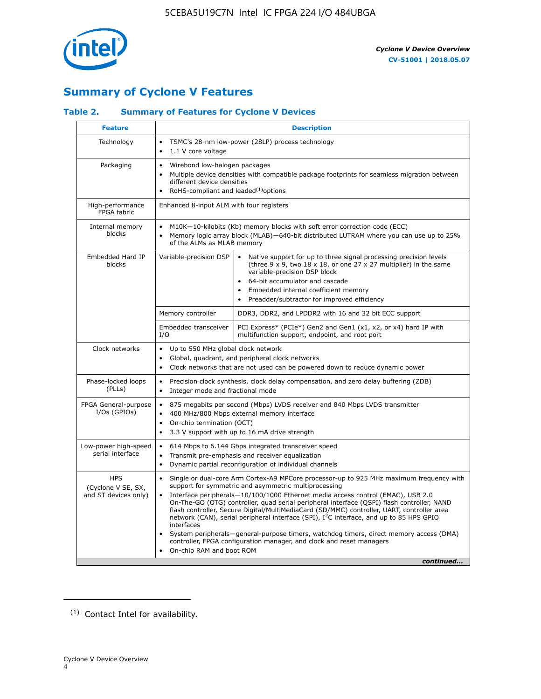

### **Summary of Cyclone V Features**

### **Table 2. Summary of Features for Cyclone V Devices**

| <b>Feature</b>                                           | <b>Description</b>                                                                                                                                                                                                                            |                                                                                                                                                                                                                                                                                                                                                                                                                                                                                                                                                                                                                                                                                                         |  |  |  |  |
|----------------------------------------------------------|-----------------------------------------------------------------------------------------------------------------------------------------------------------------------------------------------------------------------------------------------|---------------------------------------------------------------------------------------------------------------------------------------------------------------------------------------------------------------------------------------------------------------------------------------------------------------------------------------------------------------------------------------------------------------------------------------------------------------------------------------------------------------------------------------------------------------------------------------------------------------------------------------------------------------------------------------------------------|--|--|--|--|
| Technology                                               | $\bullet$<br>1.1 V core voltage<br>$\bullet$                                                                                                                                                                                                  | TSMC's 28-nm low-power (28LP) process technology                                                                                                                                                                                                                                                                                                                                                                                                                                                                                                                                                                                                                                                        |  |  |  |  |
| Packaging                                                | Wirebond low-halogen packages<br>$\bullet$<br>different device densities<br>RoHS-compliant and leaded $(1)$ options                                                                                                                           | Multiple device densities with compatible package footprints for seamless migration between                                                                                                                                                                                                                                                                                                                                                                                                                                                                                                                                                                                                             |  |  |  |  |
| High-performance<br>FPGA fabric                          | Enhanced 8-input ALM with four registers                                                                                                                                                                                                      |                                                                                                                                                                                                                                                                                                                                                                                                                                                                                                                                                                                                                                                                                                         |  |  |  |  |
| Internal memory<br>blocks                                | of the ALMs as MLAB memory                                                                                                                                                                                                                    | M10K-10-kilobits (Kb) memory blocks with soft error correction code (ECC)<br>Memory logic array block (MLAB)-640-bit distributed LUTRAM where you can use up to 25%                                                                                                                                                                                                                                                                                                                                                                                                                                                                                                                                     |  |  |  |  |
| Embedded Hard IP<br>blocks                               | Variable-precision DSP                                                                                                                                                                                                                        | Native support for up to three signal processing precision levels<br>(three $9 \times 9$ , two $18 \times 18$ , or one 27 x 27 multiplier) in the same<br>variable-precision DSP block<br>64-bit accumulator and cascade<br>Embedded internal coefficient memory<br>Preadder/subtractor for improved efficiency                                                                                                                                                                                                                                                                                                                                                                                         |  |  |  |  |
|                                                          | Memory controller                                                                                                                                                                                                                             | DDR3, DDR2, and LPDDR2 with 16 and 32 bit ECC support                                                                                                                                                                                                                                                                                                                                                                                                                                                                                                                                                                                                                                                   |  |  |  |  |
|                                                          | Embedded transceiver<br>I/O                                                                                                                                                                                                                   | PCI Express* (PCIe*) Gen2 and Gen1 (x1, x2, or x4) hard IP with<br>multifunction support, endpoint, and root port                                                                                                                                                                                                                                                                                                                                                                                                                                                                                                                                                                                       |  |  |  |  |
| Clock networks                                           | Up to 550 MHz global clock network<br>$\bullet$<br>Global, quadrant, and peripheral clock networks<br>Clock networks that are not used can be powered down to reduce dynamic power<br>$\bullet$                                               |                                                                                                                                                                                                                                                                                                                                                                                                                                                                                                                                                                                                                                                                                                         |  |  |  |  |
| Phase-locked loops<br>(PLLs)                             | $\bullet$<br>$\bullet$                                                                                                                                                                                                                        | Precision clock synthesis, clock delay compensation, and zero delay buffering (ZDB)<br>Integer mode and fractional mode                                                                                                                                                                                                                                                                                                                                                                                                                                                                                                                                                                                 |  |  |  |  |
| FPGA General-purpose<br>$I/Os$ (GPIOs)                   | 875 megabits per second (Mbps) LVDS receiver and 840 Mbps LVDS transmitter<br>$\bullet$<br>400 MHz/800 Mbps external memory interface<br>$\bullet$<br>On-chip termination (OCT)<br>3.3 V support with up to 16 mA drive strength<br>$\bullet$ |                                                                                                                                                                                                                                                                                                                                                                                                                                                                                                                                                                                                                                                                                                         |  |  |  |  |
| Low-power high-speed<br>serial interface                 | 614 Mbps to 6.144 Gbps integrated transceiver speed<br>$\bullet$<br>Transmit pre-emphasis and receiver equalization<br>$\bullet$<br>Dynamic partial reconfiguration of individual channels<br>$\bullet$                                       |                                                                                                                                                                                                                                                                                                                                                                                                                                                                                                                                                                                                                                                                                                         |  |  |  |  |
| <b>HPS</b><br>(Cyclone V SE, SX,<br>and ST devices only) | $\bullet$<br>$\bullet$<br>interfaces<br>On-chip RAM and boot ROM                                                                                                                                                                              | Single or dual-core Arm Cortex-A9 MPCore processor-up to 925 MHz maximum frequency with<br>support for symmetric and asymmetric multiprocessing<br>Interface peripherals-10/100/1000 Ethernet media access control (EMAC), USB 2.0<br>On-The-GO (OTG) controller, quad serial peripheral interface (QSPI) flash controller, NAND<br>flash controller, Secure Digital/MultiMediaCard (SD/MMC) controller, UART, controller area<br>network (CAN), serial peripheral interface (SPI), I <sup>2</sup> C interface, and up to 85 HPS GPIO<br>System peripherals—general-purpose timers, watchdog timers, direct memory access (DMA)<br>controller, FPGA configuration manager, and clock and reset managers |  |  |  |  |
|                                                          |                                                                                                                                                                                                                                               | continued                                                                                                                                                                                                                                                                                                                                                                                                                                                                                                                                                                                                                                                                                               |  |  |  |  |

<sup>(1)</sup> Contact Intel for availability.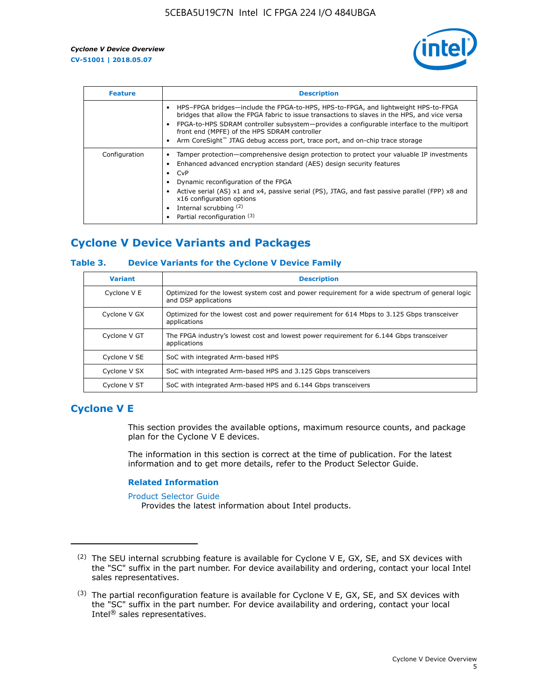

| <b>Feature</b> | <b>Description</b>                                                                                                                                                                                                                                                                                                                                                                                                    |
|----------------|-----------------------------------------------------------------------------------------------------------------------------------------------------------------------------------------------------------------------------------------------------------------------------------------------------------------------------------------------------------------------------------------------------------------------|
|                | HPS-FPGA bridges—include the FPGA-to-HPS, HPS-to-FPGA, and lightweight HPS-to-FPGA<br>bridges that allow the FPGA fabric to issue transactions to slaves in the HPS, and vice versa<br>FPGA-to-HPS SDRAM controller subsystem-provides a configurable interface to the multiport<br>front end (MPFE) of the HPS SDRAM controller<br>Arm CoreSight™ JTAG debug access port, trace port, and on-chip trace storage      |
| Configuration  | Tamper protection—comprehensive design protection to protect your valuable IP investments<br>Enhanced advanced encryption standard (AES) design security features<br>CvP<br>$\bullet$<br>Dynamic reconfiguration of the FPGA<br>Active serial (AS) x1 and x4, passive serial (PS), JTAG, and fast passive parallel (FPP) x8 and<br>x16 configuration options<br>Internal scrubbing (2)<br>Partial reconfiguration (3) |

### **Cyclone V Device Variants and Packages**

### **Table 3. Device Variants for the Cyclone V Device Family**

| <b>Variant</b> | <b>Description</b>                                                                                                      |
|----------------|-------------------------------------------------------------------------------------------------------------------------|
| Cyclone V E    | Optimized for the lowest system cost and power requirement for a wide spectrum of general logic<br>and DSP applications |
| Cyclone V GX   | Optimized for the lowest cost and power requirement for 614 Mbps to 3.125 Gbps transceiver<br>applications              |
| Cyclone V GT   | The FPGA industry's lowest cost and lowest power requirement for 6.144 Gbps transceiver<br>applications                 |
| Cyclone V SE   | SoC with integrated Arm-based HPS                                                                                       |
| Cyclone V SX   | SoC with integrated Arm-based HPS and 3.125 Gbps transceivers                                                           |
| Cyclone V ST   | SoC with integrated Arm-based HPS and 6.144 Gbps transceivers                                                           |

### **Cyclone V E**

This section provides the available options, maximum resource counts, and package plan for the Cyclone V E devices.

The information in this section is correct at the time of publication. For the latest information and to get more details, refer to the Product Selector Guide.

#### **Related Information**

[Product Selector Guide](https://www.altera.com/products/product-selector-guide.html)

Provides the latest information about Intel products.

<sup>(2)</sup> The SEU internal scrubbing feature is available for Cyclone V E, GX, SE, and SX devices with the "SC" suffix in the part number. For device availability and ordering, contact your local Intel sales representatives.

 $(3)$  The partial reconfiguration feature is available for Cyclone V E, GX, SE, and SX devices with the "SC" suffix in the part number. For device availability and ordering, contact your local Intel® sales representatives.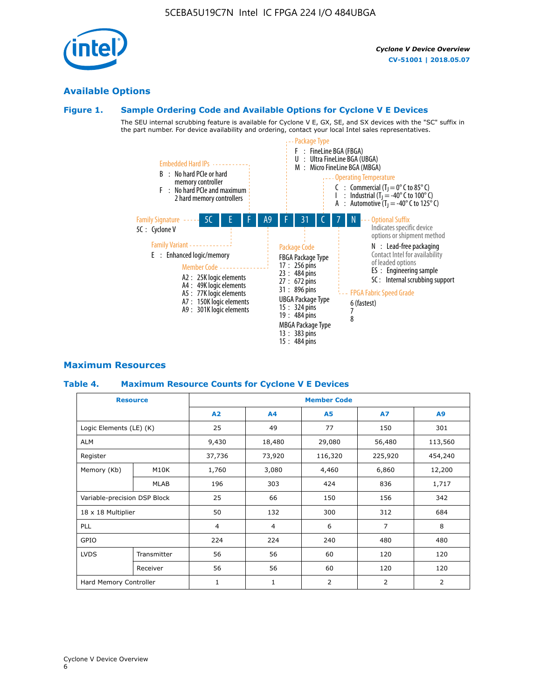### **Available Options**

### **Figure 1. Sample Ordering Code and Available Options for Cyclone V E Devices**

The SEU internal scrubbing feature is available for Cyclone V E, GX, SE, and SX devices with the "SC" suffix in the part number. For device availability and ordering, contact your local Intel sales representatives.



### **Maximum Resources**

### **Table 4. Maximum Resource Counts for Cyclone V E Devices**

| <b>Resource</b>              |             | <b>Member Code</b> |                   |           |                |                |  |  |
|------------------------------|-------------|--------------------|-------------------|-----------|----------------|----------------|--|--|
|                              |             | A2                 | A4                | <b>A5</b> | <b>A7</b>      | A9             |  |  |
| Logic Elements (LE) (K)      |             | 25                 | 49                | 77        | 150            | 301            |  |  |
| <b>ALM</b>                   |             | 9,430              | 18,480            | 29,080    | 56,480         | 113,560        |  |  |
| Register                     |             | 37,736             | 73,920            | 116,320   | 225,920        | 454,240        |  |  |
| Memory (Kb)                  | M10K        | 1,760              | 3,080             | 4,460     | 6,860          | 12,200         |  |  |
|                              | <b>MLAB</b> | 196                | 303               | 424       | 836            | 1,717          |  |  |
| Variable-precision DSP Block |             | 25                 | 66                | 150       | 156            | 342            |  |  |
| 18 x 18 Multiplier           |             | 50                 | 132               | 300       | 312            | 684            |  |  |
| <b>PLL</b>                   |             | $\overline{4}$     | $\overline{4}$    | 6         | $\overline{7}$ | 8              |  |  |
| GPIO                         |             | 224                | 224<br>240<br>480 |           |                | 480            |  |  |
| <b>LVDS</b>                  | Transmitter | 56                 | 56                | 60        | 120            | 120            |  |  |
|                              | Receiver    | 56                 | 56                | 60        | 120            | 120            |  |  |
| Hard Memory Controller       |             | $\mathbf{1}$       | 1                 | 2         | 2              | $\overline{2}$ |  |  |

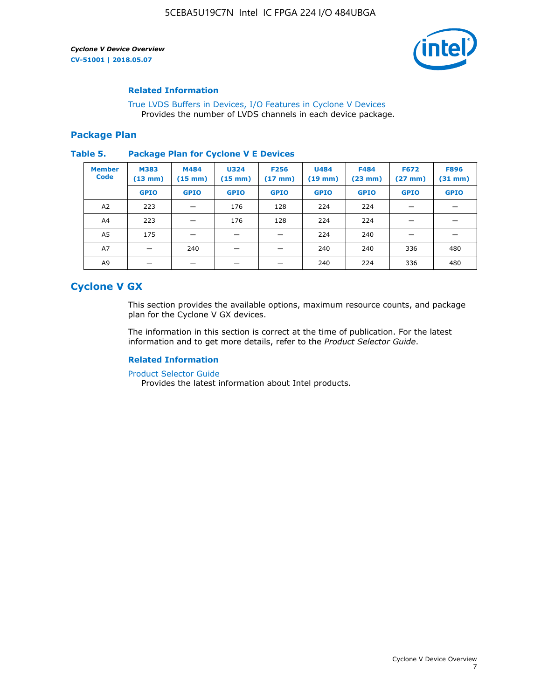

### **Related Information**

[True LVDS Buffers in Devices, I/O Features in Cyclone V Devices](https://www.altera.com/documentation/sam1403481100977.html#sam1403480885395) Provides the number of LVDS channels in each device package.

### **Package Plan**

#### **Table 5. Package Plan for Cyclone V E Devices**

| <b>Member</b><br><b>Code</b> | <b>M383</b><br>$(13 \text{ mm})$ | M484<br>$(15 \text{ mm})$ | <b>U324</b><br>$(15 \text{ mm})$ | <b>F256</b><br>$(17 \text{ mm})$ | <b>U484</b><br>$(19$ mm) | <b>F484</b><br>$(23$ mm $)$ | <b>F672</b><br>$(27 \text{ mm})$ | <b>F896</b><br>$(31 \text{ mm})$ |
|------------------------------|----------------------------------|---------------------------|----------------------------------|----------------------------------|--------------------------|-----------------------------|----------------------------------|----------------------------------|
|                              | <b>GPIO</b>                      | <b>GPIO</b>               | <b>GPIO</b>                      | <b>GPIO</b>                      | <b>GPIO</b>              | <b>GPIO</b>                 | <b>GPIO</b>                      | <b>GPIO</b>                      |
| A <sub>2</sub>               | 223                              |                           | 176                              | 128                              | 224                      | 224                         |                                  |                                  |
| A4                           | 223                              |                           | 176                              | 128                              | 224                      | 224                         | –                                |                                  |
| A <sub>5</sub>               | 175                              |                           |                                  |                                  | 224                      | 240                         |                                  |                                  |
| A7                           |                                  | 240                       |                                  |                                  | 240                      | 240                         | 336                              | 480                              |
| A9                           |                                  |                           |                                  |                                  | 240                      | 224                         | 336                              | 480                              |

### **Cyclone V GX**

This section provides the available options, maximum resource counts, and package plan for the Cyclone V GX devices.

The information in this section is correct at the time of publication. For the latest information and to get more details, refer to the *Product Selector Guide*.

### **Related Information**

[Product Selector Guide](https://www.altera.com/products/product-selector-guide.html)

Provides the latest information about Intel products.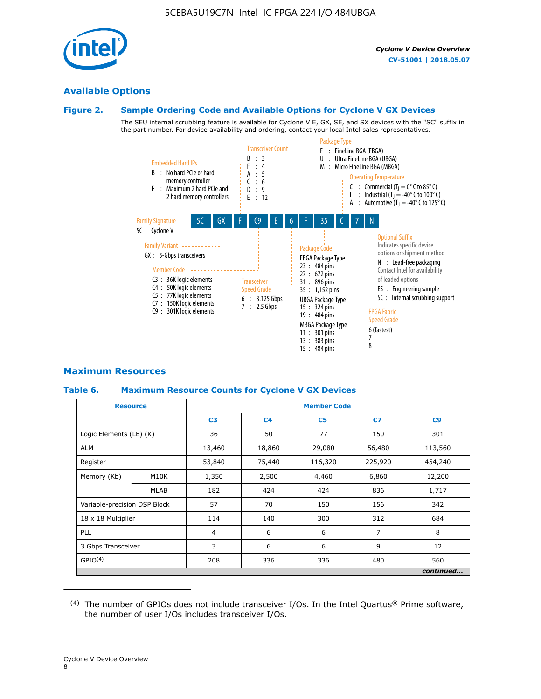

### **Available Options**

### **Figure 2. Sample Ordering Code and Available Options for Cyclone V GX Devices**

The SEU internal scrubbing feature is available for Cyclone V E, GX, SE, and SX devices with the "SC" suffix in the part number. For device availability and ordering, contact your local Intel sales representatives.



### **Maximum Resources**

### **Table 6. Maximum Resource Counts for Cyclone V GX Devices**

|                              | <b>Resource</b> | <b>Member Code</b> |                |                |                |           |  |  |
|------------------------------|-----------------|--------------------|----------------|----------------|----------------|-----------|--|--|
|                              |                 | C <sub>3</sub>     | C <sub>4</sub> | C <sub>5</sub> | C7             | C9        |  |  |
| Logic Elements (LE) (K)      |                 | 36                 | 50             | 77             | 150            | 301       |  |  |
| <b>ALM</b>                   |                 | 13,460             | 18,860         | 29,080         | 56,480         | 113,560   |  |  |
| Register                     |                 | 53,840             | 75,440         | 116,320        | 225,920        | 454,240   |  |  |
| Memory (Kb)                  | M10K            | 1,350              | 2,500          | 4,460          | 6,860          | 12,200    |  |  |
|                              | <b>MLAB</b>     | 182                | 424            | 424            | 836            | 1,717     |  |  |
| Variable-precision DSP Block |                 | 57                 | 70             | 150            | 156            | 342       |  |  |
| 18 x 18 Multiplier           |                 | 114                | 140            | 300            | 312            | 684       |  |  |
| PLL                          |                 | $\overline{4}$     | 6              | 6              | $\overline{7}$ | 8         |  |  |
| 3 Gbps Transceiver           |                 | 3                  | 6              | 6              | 9              | 12        |  |  |
| GPIO <sup>(4)</sup>          |                 | 208                | 336            | 336            | 480            | 560       |  |  |
|                              |                 |                    |                |                |                | continued |  |  |

 $(4)$  The number of GPIOs does not include transceiver I/Os. In the Intel Quartus® Prime software, the number of user I/Os includes transceiver I/Os.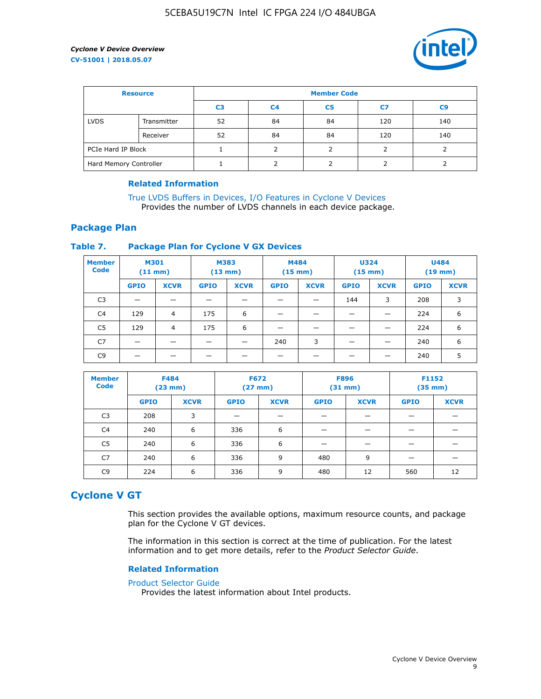

| <b>Resource</b>        |             | <b>Member Code</b> |                |                |     |     |  |  |
|------------------------|-------------|--------------------|----------------|----------------|-----|-----|--|--|
|                        |             | C3                 | C <sub>4</sub> | C <sub>5</sub> | C7  | C9  |  |  |
| <b>LVDS</b>            | Transmitter | 52                 | 84             | 84             | 120 | 140 |  |  |
|                        | Receiver    | 52                 | 84             | 84             | 120 | 140 |  |  |
| PCIe Hard IP Block     |             |                    |                |                |     |     |  |  |
| Hard Memory Controller |             |                    |                |                |     |     |  |  |

### **Related Information**

[True LVDS Buffers in Devices, I/O Features in Cyclone V Devices](https://www.altera.com/documentation/sam1403481100977.html#sam1403480885395) Provides the number of LVDS channels in each device package.

### **Package Plan**

### **Table 7. Package Plan for Cyclone V GX Devices**

| <b>Member</b><br><b>Code</b> | <b>M301</b><br>$(11$ mm) |                | <b>M383</b><br>$(13 \text{ mm})$ |             | M484        | $(15 \text{ mm})$ | <b>U324</b><br>$(15 \text{ mm})$ |             | <b>U484</b><br>$(19$ mm) |             |
|------------------------------|--------------------------|----------------|----------------------------------|-------------|-------------|-------------------|----------------------------------|-------------|--------------------------|-------------|
|                              | <b>GPIO</b>              | <b>XCVR</b>    | <b>GPIO</b>                      | <b>XCVR</b> | <b>GPIO</b> | <b>XCVR</b>       | <b>GPIO</b>                      | <b>XCVR</b> | <b>GPIO</b>              | <b>XCVR</b> |
| C <sub>3</sub>               |                          |                |                                  |             |             |                   | 144                              | 3           | 208                      | 3           |
| C <sub>4</sub>               | 129                      | $\overline{4}$ | 175                              | 6           |             |                   | –                                |             | 224                      | 6           |
| C5                           | 129                      | 4              | 175                              | 6           |             |                   |                                  |             | 224                      | 6           |
| C7                           | _                        |                |                                  |             | 240         | 3                 |                                  |             | 240                      | 6           |
| C <sub>9</sub>               |                          |                |                                  |             |             |                   |                                  |             | 240                      | 5           |

| <b>Member</b><br><b>Code</b> | <b>F484</b> | $(23$ mm)   | <b>F672</b> | $(27$ mm $)$ | <b>F896</b><br>$(31 \text{ mm})$ |             | F1152<br>$(35 \text{ mm})$ |             |
|------------------------------|-------------|-------------|-------------|--------------|----------------------------------|-------------|----------------------------|-------------|
|                              | <b>GPIO</b> | <b>XCVR</b> | <b>GPIO</b> | <b>XCVR</b>  | <b>GPIO</b>                      | <b>XCVR</b> | <b>GPIO</b>                | <b>XCVR</b> |
| C <sub>3</sub>               | 208         | 3           |             |              |                                  |             |                            |             |
| C4                           | 240         | 6           | 336         | 6            |                                  |             |                            |             |
| C5                           | 240         | 6           | 336         | 6            |                                  |             |                            |             |
| C <sub>7</sub>               | 240         | 6           | 336         | 9            | 480                              | 9           |                            |             |
| C <sub>9</sub>               | 224         | 6           | 336         | 9            | 480                              | 12          | 560                        | 12          |

### **Cyclone V GT**

This section provides the available options, maximum resource counts, and package plan for the Cyclone V GT devices.

The information in this section is correct at the time of publication. For the latest information and to get more details, refer to the *Product Selector Guide*.

#### **Related Information**

#### [Product Selector Guide](https://www.altera.com/products/product-selector-guide.html)

Provides the latest information about Intel products.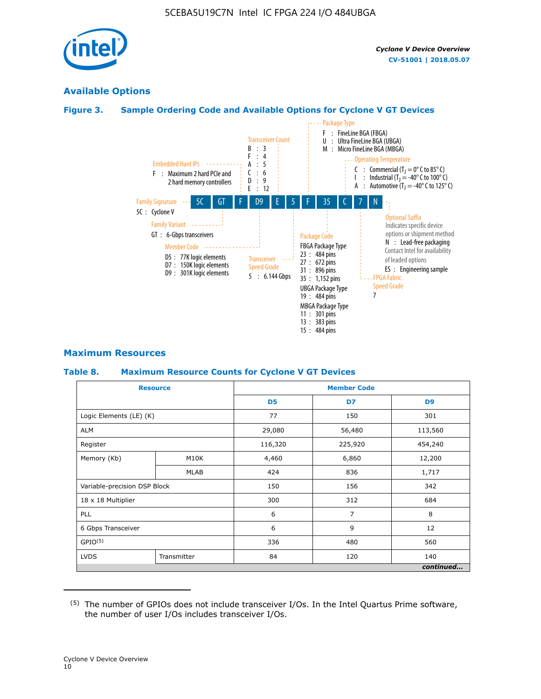

### **Available Options**

### **Figure 3. Sample Ordering Code and Available Options for Cyclone V GT Devices**



### **Maximum Resources**

### **Table 8. Maximum Resource Counts for Cyclone V GT Devices**

|                              | <b>Resource</b> | <b>Member Code</b> |         |                |  |  |  |
|------------------------------|-----------------|--------------------|---------|----------------|--|--|--|
|                              |                 | D <sub>5</sub>     | D7      | D <sub>9</sub> |  |  |  |
| Logic Elements (LE) (K)      |                 | 77                 | 150     | 301            |  |  |  |
| <b>ALM</b>                   |                 | 29,080             | 56,480  | 113,560        |  |  |  |
| Register                     |                 | 116,320            | 225,920 | 454,240        |  |  |  |
| Memory (Kb)                  | M10K            | 4,460              | 6,860   | 12,200         |  |  |  |
|                              | <b>MLAB</b>     | 424                | 836     | 1,717          |  |  |  |
| Variable-precision DSP Block |                 | 150                | 156     | 342            |  |  |  |
| 18 x 18 Multiplier           |                 | 300                | 312     | 684            |  |  |  |
| PLL                          |                 | 6                  | 7       | 8              |  |  |  |
| 6 Gbps Transceiver           |                 | 6                  | 9       | 12             |  |  |  |
| GPIO <sup>(5)</sup>          |                 | 336                | 480     | 560            |  |  |  |
| <b>LVDS</b>                  | Transmitter     | 84                 | 120     | 140            |  |  |  |
|                              |                 |                    |         | continued      |  |  |  |

<sup>(5)</sup> The number of GPIOs does not include transceiver I/Os. In the Intel Quartus Prime software, the number of user I/Os includes transceiver I/Os.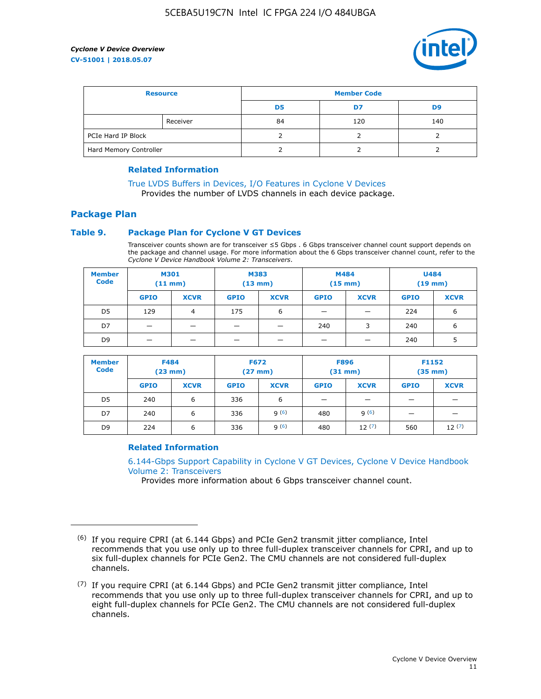

| <b>Resource</b>        |          | <b>Member Code</b> |     |     |  |  |
|------------------------|----------|--------------------|-----|-----|--|--|
|                        |          | D5                 | D7  | D9  |  |  |
|                        | Receiver | 84                 | 120 | 140 |  |  |
| PCIe Hard IP Block     |          |                    |     |     |  |  |
| Hard Memory Controller |          |                    |     |     |  |  |

### **Related Information**

[True LVDS Buffers in Devices, I/O Features in Cyclone V Devices](https://www.altera.com/documentation/sam1403481100977.html#sam1403480885395) Provides the number of LVDS channels in each device package.

### **Package Plan**

### **Table 9. Package Plan for Cyclone V GT Devices**

Transceiver counts shown are for transceiver ≤5 Gbps . 6 Gbps transceiver channel count support depends on the package and channel usage. For more information about the 6 Gbps transceiver channel count, refer to the *Cyclone V Device Handbook Volume 2: Transceivers*.

| <b>Member</b><br><b>Code</b> | <b>M301</b><br>(11 mm)   |                | M383<br>$(13 \text{ mm})$ |             | M484<br>$(15 \text{ mm})$ |             | <b>U484</b><br>$(19$ mm) |             |
|------------------------------|--------------------------|----------------|---------------------------|-------------|---------------------------|-------------|--------------------------|-------------|
|                              | <b>GPIO</b>              | <b>XCVR</b>    | <b>GPIO</b>               | <b>XCVR</b> | <b>GPIO</b>               | <b>XCVR</b> | <b>GPIO</b>              | <b>XCVR</b> |
| D <sub>5</sub>               | 129                      | $\overline{4}$ | 175                       | 6           | -                         | -           | 224                      | 6           |
| D7                           | -                        | -              |                           |             | 240                       | 3           | 240                      | 6           |
| D <sub>9</sub>               | $\overline{\phantom{0}}$ | _              |                           |             | -                         |             | 240                      | 5           |

| <b>Member</b><br><b>Code</b> | <b>F484</b><br>$(23 \text{ mm})$ |             | <b>F672</b><br>$(27 \text{ mm})$ |             | <b>F896</b><br>$(31$ mm $)$ |             | F1152<br>$(35$ mm $)$ |             |
|------------------------------|----------------------------------|-------------|----------------------------------|-------------|-----------------------------|-------------|-----------------------|-------------|
|                              | <b>GPIO</b>                      | <b>XCVR</b> | <b>GPIO</b>                      | <b>XCVR</b> | <b>GPIO</b>                 | <b>XCVR</b> | <b>GPIO</b>           | <b>XCVR</b> |
| D <sub>5</sub>               | 240                              | 6           | 336                              | 6           | -                           |             |                       |             |
| D7                           | 240                              | 6           | 336                              | q(6)        | 480                         | q(6)        | -                     | _           |
| D <sub>9</sub>               | 224                              | 6           | 336                              | q(6)        | 480                         | 12(7)       | 560                   | 12(7)       |

### **Related Information**

[6.144-Gbps Support Capability in Cyclone V GT Devices, Cyclone V Device Handbook](https://www.altera.com/documentation/nik1409855456781.html#nik1409855410757) [Volume 2: Transceivers](https://www.altera.com/documentation/nik1409855456781.html#nik1409855410757)

Provides more information about 6 Gbps transceiver channel count.

<sup>(6)</sup> If you require CPRI (at 6.144 Gbps) and PCIe Gen2 transmit jitter compliance, Intel recommends that you use only up to three full-duplex transceiver channels for CPRI, and up to six full-duplex channels for PCIe Gen2. The CMU channels are not considered full-duplex channels.

 $(7)$  If you require CPRI (at 6.144 Gbps) and PCIe Gen2 transmit jitter compliance, Intel recommends that you use only up to three full-duplex transceiver channels for CPRI, and up to eight full-duplex channels for PCIe Gen2. The CMU channels are not considered full-duplex channels.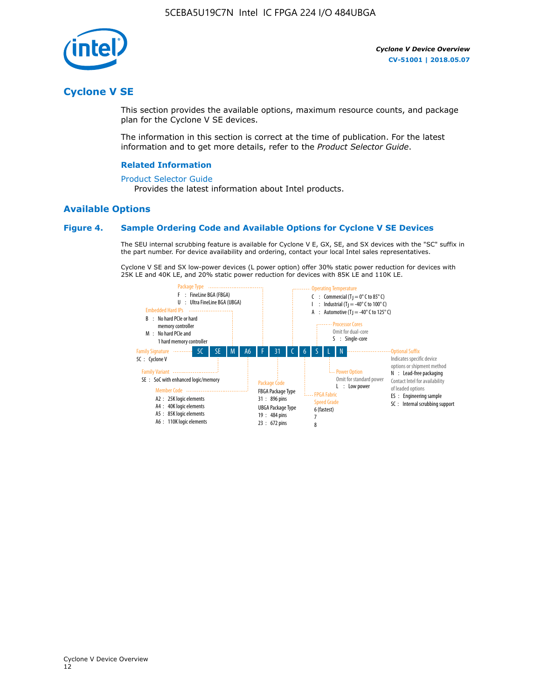

### **Cyclone V SE**

This section provides the available options, maximum resource counts, and package plan for the Cyclone V SE devices.

The information in this section is correct at the time of publication. For the latest information and to get more details, refer to the *Product Selector Guide*.

#### **Related Information**

#### [Product Selector Guide](https://www.altera.com/products/product-selector-guide.html)

Provides the latest information about Intel products.

### **Available Options**

#### **Figure 4. Sample Ordering Code and Available Options for Cyclone V SE Devices**

The SEU internal scrubbing feature is available for Cyclone V E, GX, SE, and SX devices with the "SC" suffix in the part number. For device availability and ordering, contact your local Intel sales representatives.

Cyclone V SE and SX low-power devices (L power option) offer 30% static power reduction for devices with 25K LE and 40K LE, and 20% static power reduction for devices with 85K LE and 110K LE.

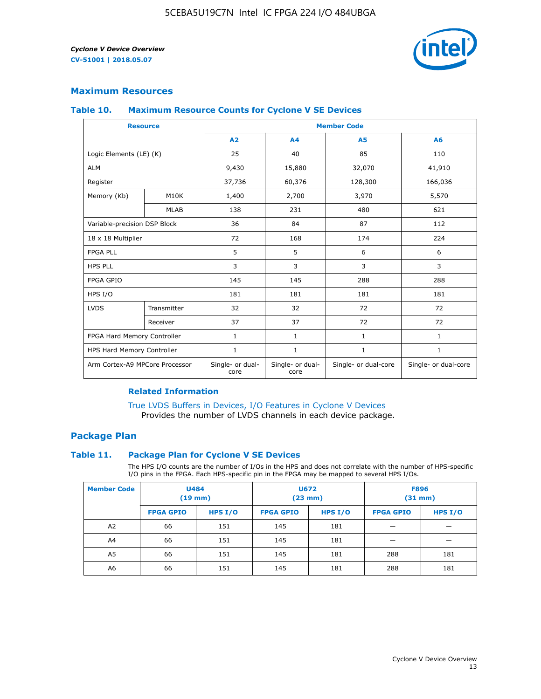

### **Maximum Resources**

#### **Table 10. Maximum Resource Counts for Cyclone V SE Devices**

|                                | <b>Resource</b>   | <b>Member Code</b>       |                          |                      |                      |  |
|--------------------------------|-------------------|--------------------------|--------------------------|----------------------|----------------------|--|
|                                |                   | A <sub>2</sub>           | A <sub>4</sub>           | <b>A5</b>            | A6                   |  |
| Logic Elements (LE) (K)        |                   | 25                       | 40                       | 85                   | 110                  |  |
| <b>ALM</b>                     |                   | 9,430                    | 15,880                   | 32,070               | 41,910               |  |
| Register                       |                   | 37,736                   | 60,376                   | 128,300              | 166,036              |  |
| Memory (Kb)                    | M <sub>10</sub> K | 1,400                    | 2,700                    | 3,970                | 5,570                |  |
|                                | <b>MLAB</b>       | 138                      | 231                      | 480                  | 621                  |  |
| Variable-precision DSP Block   |                   | 36                       | 84                       | 87                   | 112                  |  |
| 18 x 18 Multiplier             |                   | 72                       | 168                      | 174                  | 224                  |  |
| <b>FPGA PLL</b>                |                   | 5                        | 5                        | 6                    | 6                    |  |
| <b>HPS PLL</b>                 |                   | 3                        | 3                        | 3                    | 3                    |  |
| <b>FPGA GPIO</b>               |                   | 145                      | 145                      | 288                  | 288                  |  |
| HPS I/O                        |                   | 181                      | 181                      | 181                  | 181                  |  |
| <b>LVDS</b>                    | Transmitter       | 32                       | 32                       | 72                   | 72                   |  |
|                                | Receiver          | 37                       | 37                       | 72                   | 72                   |  |
| FPGA Hard Memory Controller    |                   | 1                        | $\mathbf{1}$             | $\mathbf{1}$         | $\mathbf{1}$         |  |
| HPS Hard Memory Controller     |                   | $\mathbf{1}$             | $\mathbf{1}$             | $\mathbf{1}$         | $\mathbf{1}$         |  |
| Arm Cortex-A9 MPCore Processor |                   | Single- or dual-<br>core | Single- or dual-<br>core | Single- or dual-core | Single- or dual-core |  |

### **Related Information**

[True LVDS Buffers in Devices, I/O Features in Cyclone V Devices](https://www.altera.com/documentation/sam1403481100977.html#sam1403480885395) Provides the number of LVDS channels in each device package.

### **Package Plan**

#### **Table 11. Package Plan for Cyclone V SE Devices**

The HPS I/O counts are the number of I/Os in the HPS and does not correlate with the number of HPS-specific I/O pins in the FPGA. Each HPS-specific pin in the FPGA may be mapped to several HPS I/Os.

| <b>Member Code</b> | <b>U484</b><br>$(19$ mm) |           | <b>U672</b><br>(23 mm) |           | <b>F896</b><br>$(31$ mm $)$ |         |
|--------------------|--------------------------|-----------|------------------------|-----------|-----------------------------|---------|
|                    | <b>FPGA GPIO</b>         | HPS $I/O$ | <b>FPGA GPIO</b>       | HPS $I/O$ | <b>FPGA GPIO</b>            | HPS I/O |
| A <sub>2</sub>     | 66                       | 151       | 145                    | 181       |                             |         |
| A4                 | 66                       | 151       | 145                    | 181       |                             |         |
| A <sub>5</sub>     | 66                       | 151       | 145                    | 181       | 288                         | 181     |
| A6                 | 66                       | 151       | 145                    | 181       | 288                         | 181     |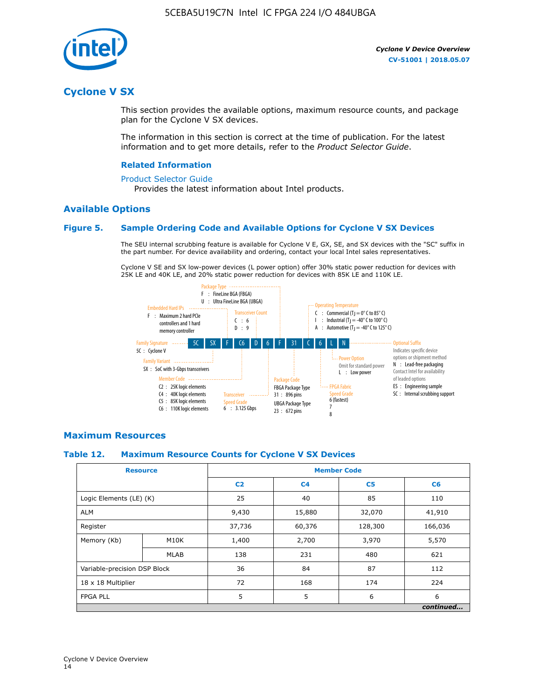

### **Cyclone V SX**

This section provides the available options, maximum resource counts, and package plan for the Cyclone V SX devices.

The information in this section is correct at the time of publication. For the latest information and to get more details, refer to the *Product Selector Guide*.

#### **Related Information**

#### [Product Selector Guide](https://www.altera.com/products/product-selector-guide.html)

Provides the latest information about Intel products.

### **Available Options**

### **Figure 5. Sample Ordering Code and Available Options for Cyclone V SX Devices**

The SEU internal scrubbing feature is available for Cyclone V E, GX, SE, and SX devices with the "SC" suffix in the part number. For device availability and ordering, contact your local Intel sales representatives.

Cyclone V SE and SX low-power devices (L power option) offer 30% static power reduction for devices with 25K LE and 40K LE, and 20% static power reduction for devices with 85K LE and 110K LE.



### **Maximum Resources**

#### **Table 12. Maximum Resource Counts for Cyclone V SX Devices**

|                              | <b>Resource</b> | <b>Member Code</b> |                |                |           |  |
|------------------------------|-----------------|--------------------|----------------|----------------|-----------|--|
|                              |                 | C <sub>2</sub>     | C <sub>4</sub> | C <sub>5</sub> | C6        |  |
| Logic Elements (LE) (K)      |                 | 25                 | 40             | 85             | 110       |  |
| <b>ALM</b>                   |                 | 9,430              | 15,880         | 32,070         | 41,910    |  |
| Register                     |                 | 37,736             | 60,376         | 128,300        | 166,036   |  |
| Memory (Kb)                  | M10K            | 1,400              | 2,700          | 3,970          | 5,570     |  |
|                              | <b>MLAB</b>     | 138                | 231            | 480            | 621       |  |
| Variable-precision DSP Block |                 | 36                 | 84             | 87             | 112       |  |
| 18 x 18 Multiplier           |                 | 72                 | 168            | 174            | 224       |  |
| <b>FPGA PLL</b>              |                 | 5                  | 5              | 6              | 6         |  |
|                              |                 |                    |                |                | continued |  |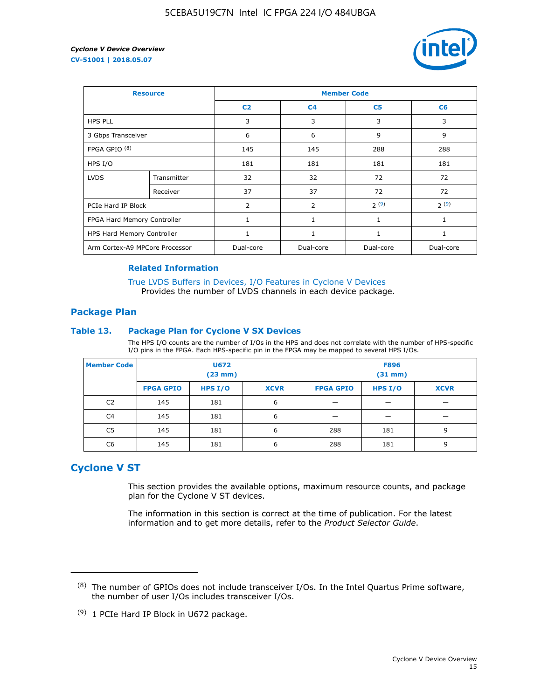

| <b>Resource</b>                |             | <b>Member Code</b> |                |                |              |  |  |
|--------------------------------|-------------|--------------------|----------------|----------------|--------------|--|--|
|                                |             | C <sub>2</sub>     | C <sub>4</sub> | C <sub>5</sub> | C6           |  |  |
| <b>HPS PLL</b>                 |             | 3                  | 3              | 3              | 3            |  |  |
| 3 Gbps Transceiver             |             | 6                  | 6              | 9              | 9            |  |  |
| FPGA GPIO <sup>(8)</sup>       |             | 145                | 145            | 288            | 288          |  |  |
| HPS I/O                        |             | 181                | 181            | 181            | 181          |  |  |
| <b>LVDS</b>                    | Transmitter | 32                 | 32             | 72             | 72           |  |  |
|                                | Receiver    | 37                 | 37             | 72             | 72           |  |  |
| PCIe Hard IP Block             |             | $\overline{2}$     | $\overline{2}$ | 2(9)           | 2(9)         |  |  |
| FPGA Hard Memory Controller    |             | 1                  | $\mathbf{1}$   | 1              | $\mathbf{1}$ |  |  |
| HPS Hard Memory Controller     |             | 1                  | $\mathbf{1}$   | 1              | 1            |  |  |
| Arm Cortex-A9 MPCore Processor |             | Dual-core          | Dual-core      | Dual-core      | Dual-core    |  |  |

### **Related Information**

[True LVDS Buffers in Devices, I/O Features in Cyclone V Devices](https://www.altera.com/documentation/sam1403481100977.html#sam1403480885395) Provides the number of LVDS channels in each device package.

### **Package Plan**

#### **Table 13. Package Plan for Cyclone V SX Devices**

The HPS I/O counts are the number of I/Os in the HPS and does not correlate with the number of HPS-specific I/O pins in the FPGA. Each HPS-specific pin in the FPGA may be mapped to several HPS I/Os.

| <b>Member Code</b> | U672<br>(23 mm)  |           | <b>F896</b><br>$(31$ mm $)$ |                  |         |             |
|--------------------|------------------|-----------|-----------------------------|------------------|---------|-------------|
|                    | <b>FPGA GPIO</b> | HPS $I/O$ | <b>XCVR</b>                 | <b>FPGA GPIO</b> | HPS I/O | <b>XCVR</b> |
| C <sub>2</sub>     | 145              | 181       | 6                           |                  |         |             |
| C4                 | 145              | 181       | 6                           |                  |         |             |
| C <sub>5</sub>     | 145              | 181       | 6                           | 288              | 181     | 9           |
| C6                 | 145              | 181       | 6                           | 288              | 181     | 9           |

### **Cyclone V ST**

This section provides the available options, maximum resource counts, and package plan for the Cyclone V ST devices.

The information in this section is correct at the time of publication. For the latest information and to get more details, refer to the *Product Selector Guide*.

 $(8)$  The number of GPIOs does not include transceiver I/Os. In the Intel Quartus Prime software, the number of user I/Os includes transceiver I/Os.

<sup>(9)</sup> 1 PCIe Hard IP Block in U672 package.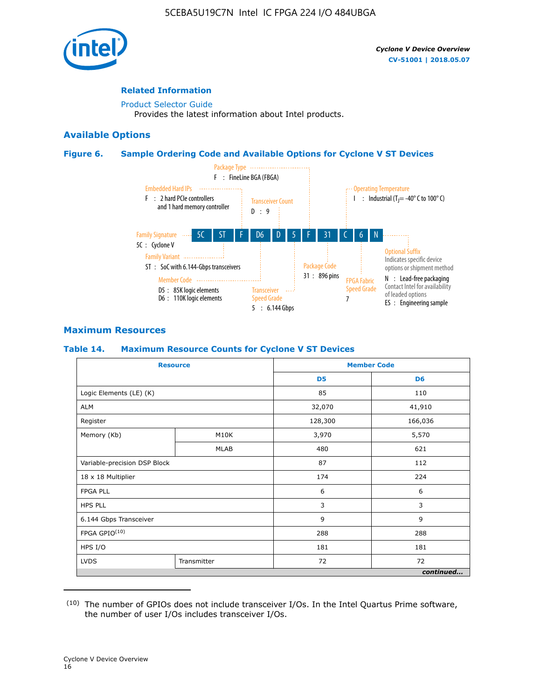

### **Related Information**

[Product Selector Guide](https://www.altera.com/products/product-selector-guide.html) Provides the latest information about Intel products.

### **Available Options**

### **Figure 6. Sample Ordering Code and Available Options for Cyclone V ST Devices**



### **Maximum Resources**

### **Table 14. Maximum Resource Counts for Cyclone V ST Devices**

| <b>Resource</b>              |             |                | <b>Member Code</b> |
|------------------------------|-------------|----------------|--------------------|
|                              |             | D <sub>5</sub> | D <sub>6</sub>     |
| Logic Elements (LE) (K)      |             | 85             | 110                |
| <b>ALM</b>                   |             | 32,070         | 41,910             |
| Register                     |             | 128,300        | 166,036            |
| Memory (Kb)                  | M10K        | 3,970          | 5,570              |
|                              | <b>MLAB</b> | 480            | 621                |
| Variable-precision DSP Block |             | 87             | 112                |
| 18 x 18 Multiplier           |             | 174            | 224                |
| <b>FPGA PLL</b>              |             | 6              | 6                  |
| <b>HPS PLL</b>               |             | 3              | 3                  |
| 6.144 Gbps Transceiver       |             | 9              | 9                  |
| FPGA GPIO(10)                |             | 288            | 288                |
| HPS I/O                      |             | 181            | 181                |
| <b>LVDS</b><br>Transmitter   |             | 72             | 72                 |
|                              |             |                | continued          |

<sup>(10)</sup> The number of GPIOs does not include transceiver I/Os. In the Intel Quartus Prime software, the number of user I/Os includes transceiver I/Os.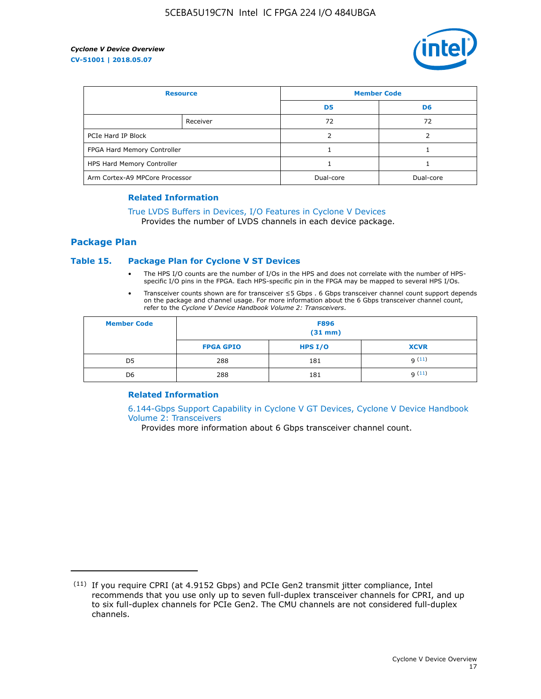

| <b>Resource</b>                |          | <b>Member Code</b> |                |  |
|--------------------------------|----------|--------------------|----------------|--|
|                                |          | D <sub>5</sub>     | D <sub>6</sub> |  |
|                                | Receiver | 72                 | 72             |  |
| PCIe Hard IP Block             |          |                    |                |  |
| FPGA Hard Memory Controller    |          |                    |                |  |
| HPS Hard Memory Controller     |          |                    |                |  |
| Arm Cortex-A9 MPCore Processor |          | Dual-core          | Dual-core      |  |

#### **Related Information**

### [True LVDS Buffers in Devices, I/O Features in Cyclone V Devices](https://www.altera.com/documentation/sam1403481100977.html#sam1403480885395)

Provides the number of LVDS channels in each device package.

### **Package Plan**

#### **Table 15. Package Plan for Cyclone V ST Devices**

- The HPS I/O counts are the number of I/Os in the HPS and does not correlate with the number of HPSspecific I/O pins in the FPGA. Each HPS-specific pin in the FPGA may be mapped to several HPS I/Os.
- Transceiver counts shown are for transceiver ≤5 Gbps . 6 Gbps transceiver channel count support depends on the package and channel usage. For more information about the 6 Gbps transceiver channel count, refer to the *Cyclone V Device Handbook Volume 2: Transceivers*.

| <b>Member Code</b> | <b>F896</b><br>$(31$ mm $)$ |           |             |  |  |
|--------------------|-----------------------------|-----------|-------------|--|--|
|                    | <b>FPGA GPIO</b>            | HPS $I/O$ | <b>XCVR</b> |  |  |
| D <sub>5</sub>     | 288                         | 181       | 9(11)       |  |  |
| D <sub>6</sub>     | 288                         | 181       | q(11)       |  |  |

### **Related Information**

[6.144-Gbps Support Capability in Cyclone V GT Devices, Cyclone V Device Handbook](https://www.altera.com/documentation/nik1409855456781.html#nik1409855410757) [Volume 2: Transceivers](https://www.altera.com/documentation/nik1409855456781.html#nik1409855410757)

Provides more information about 6 Gbps transceiver channel count.

<sup>(11)</sup> If you require CPRI (at 4.9152 Gbps) and PCIe Gen2 transmit jitter compliance, Intel recommends that you use only up to seven full-duplex transceiver channels for CPRI, and up to six full-duplex channels for PCIe Gen2. The CMU channels are not considered full-duplex channels.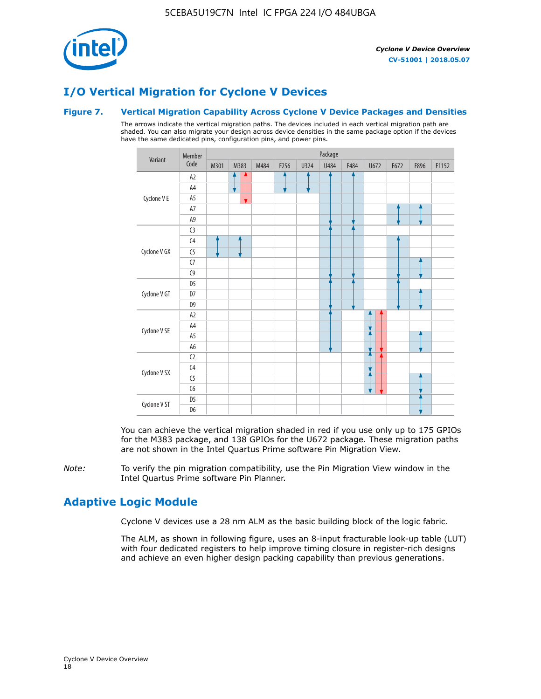

### **I/O Vertical Migration for Cyclone V Devices**

### **Figure 7. Vertical Migration Capability Across Cyclone V Device Packages and Densities**

The arrows indicate the vertical migration paths. The devices included in each vertical migration path are shaded. You can also migrate your design across device densities in the same package option if the devices have the same dedicated pins, configuration pins, and power pins.



You can achieve the vertical migration shaded in red if you use only up to 175 GPIOs for the M383 package, and 138 GPIOs for the U672 package. These migration paths are not shown in the Intel Quartus Prime software Pin Migration View.

*Note:* To verify the pin migration compatibility, use the Pin Migration View window in the Intel Quartus Prime software Pin Planner.

### **Adaptive Logic Module**

Cyclone V devices use a 28 nm ALM as the basic building block of the logic fabric.

The ALM, as shown in following figure, uses an 8-input fracturable look-up table (LUT) with four dedicated registers to help improve timing closure in register-rich designs and achieve an even higher design packing capability than previous generations.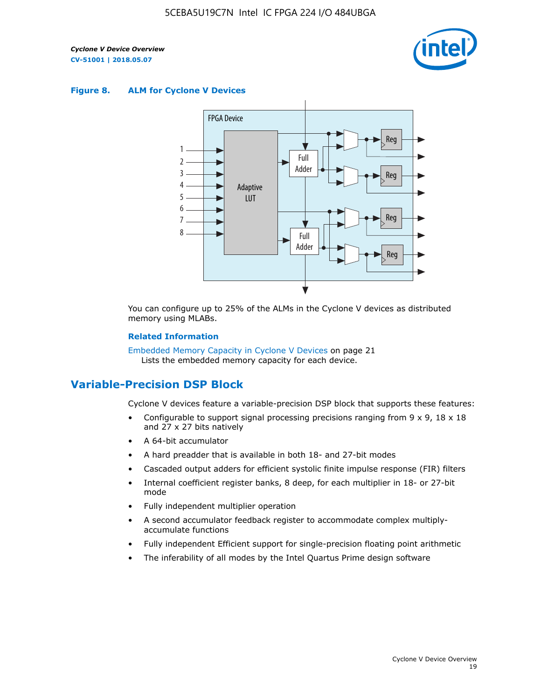

#### **Figure 8. ALM for Cyclone V Devices**



You can configure up to 25% of the ALMs in the Cyclone V devices as distributed memory using MLABs.

#### **Related Information**

Embedded Memory Capacity in Cyclone V Devices on page 21 Lists the embedded memory capacity for each device.

### **Variable-Precision DSP Block**

Cyclone V devices feature a variable-precision DSP block that supports these features:

- Configurable to support signal processing precisions ranging from  $9 \times 9$ ,  $18 \times 18$ and 27 x 27 bits natively
- A 64-bit accumulator
- A hard preadder that is available in both 18- and 27-bit modes
- Cascaded output adders for efficient systolic finite impulse response (FIR) filters
- Internal coefficient register banks, 8 deep, for each multiplier in 18- or 27-bit mode
- Fully independent multiplier operation
- A second accumulator feedback register to accommodate complex multiplyaccumulate functions
- Fully independent Efficient support for single-precision floating point arithmetic
- The inferability of all modes by the Intel Quartus Prime design software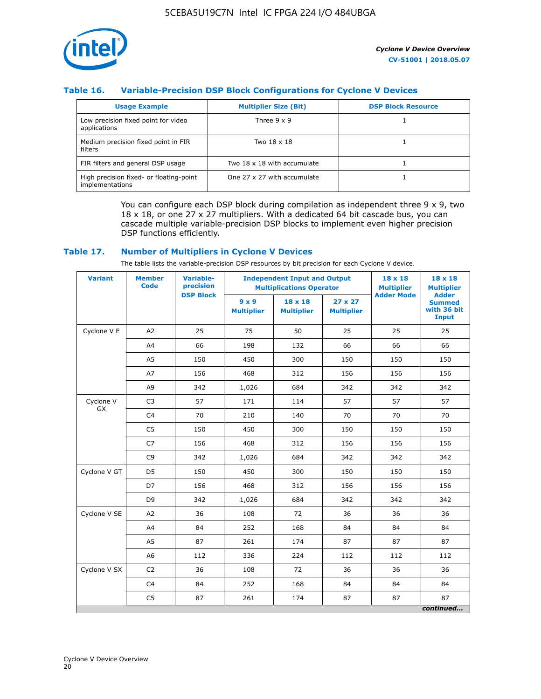

### **Table 16. Variable-Precision DSP Block Configurations for Cyclone V Devices**

| <b>Usage Example</b>                                       | <b>Multiplier Size (Bit)</b> | <b>DSP Block Resource</b> |
|------------------------------------------------------------|------------------------------|---------------------------|
| Low precision fixed point for video<br>applications        | Three $9 \times 9$           |                           |
| Medium precision fixed point in FIR<br>filters             | Two 18 x 18                  |                           |
| FIR filters and general DSP usage                          | Two 18 x 18 with accumulate  |                           |
| High precision fixed- or floating-point<br>implementations | One 27 x 27 with accumulate  |                           |

You can configure each DSP block during compilation as independent three  $9 \times 9$ , two 18 x 18, or one 27 x 27 multipliers. With a dedicated 64 bit cascade bus, you can cascade multiple variable-precision DSP blocks to implement even higher precision DSP functions efficiently.

### **Table 17. Number of Multipliers in Cyclone V Devices**

The table lists the variable-precision DSP resources by bit precision for each Cyclone V device.

| <b>Variant</b>  | <b>Member</b><br><b>Code</b> | <b>Variable-</b><br>precision |                                   | <b>Independent Input and Output</b><br><b>Multiplications Operator</b> | $18 \times 18$<br><b>Multiplier</b> | $18 \times 18$<br><b>Multiplier</b> |                                                              |
|-----------------|------------------------------|-------------------------------|-----------------------------------|------------------------------------------------------------------------|-------------------------------------|-------------------------------------|--------------------------------------------------------------|
|                 |                              | <b>DSP Block</b>              | $9 \times 9$<br><b>Multiplier</b> | $18 \times 18$<br><b>Multiplier</b>                                    | $27 \times 27$<br><b>Multiplier</b> | <b>Adder Mode</b>                   | <b>Adder</b><br><b>Summed</b><br>with 36 bit<br><b>Input</b> |
| Cyclone V E     | A2                           | 25                            | 75                                | 50                                                                     | 25                                  | 25                                  | 25                                                           |
|                 | A4                           | 66                            | 198                               | 132                                                                    | 66                                  | 66                                  | 66                                                           |
|                 | A5                           | 150                           | 450                               | 300                                                                    | 150                                 | 150                                 | 150                                                          |
|                 | A7                           | 156                           | 468                               | 312                                                                    | 156                                 | 156                                 | 156                                                          |
|                 | A9                           | 342                           | 1,026                             | 684                                                                    | 342                                 | 342                                 | 342                                                          |
| Cyclone V<br>GX | C <sub>3</sub>               | 57                            | 171                               | 114                                                                    | 57                                  | 57                                  | 57                                                           |
|                 | C <sub>4</sub>               | 70                            | 210                               | 140                                                                    | 70                                  | 70                                  | 70                                                           |
|                 | C <sub>5</sub>               | 150                           | 450                               | 300                                                                    | 150                                 | 150                                 | 150                                                          |
|                 | C7                           | 156                           | 468                               | 312                                                                    | 156                                 | 156                                 | 156                                                          |
|                 | C <sub>9</sub>               | 342                           | 1,026                             | 684                                                                    | 342                                 | 342                                 | 342                                                          |
| Cyclone V GT    | D <sub>5</sub>               | 150                           | 450                               | 300                                                                    | 150                                 | 150                                 | 150                                                          |
|                 | D7                           | 156                           | 468                               | 312                                                                    | 156                                 | 156                                 | 156                                                          |
|                 | D <sub>9</sub>               | 342                           | 1,026                             | 684                                                                    | 342                                 | 342                                 | 342                                                          |
| Cyclone V SE    | A <sub>2</sub>               | 36                            | 108                               | 72                                                                     | 36                                  | 36                                  | 36                                                           |
|                 | A4                           | 84                            | 252                               | 168                                                                    | 84                                  | 84                                  | 84                                                           |
|                 | A5                           | 87                            | 261                               | 174                                                                    | 87                                  | 87                                  | 87                                                           |
|                 | A <sub>6</sub>               | 112                           | 336                               | 224                                                                    | 112                                 | 112                                 | 112                                                          |
| Cyclone V SX    | C <sub>2</sub>               | 36                            | 108                               | 72                                                                     | 36                                  | 36                                  | 36                                                           |
|                 | C <sub>4</sub>               | 84                            | 252                               | 168                                                                    | 84                                  | 84                                  | 84                                                           |
|                 | C <sub>5</sub>               | 87                            | 261                               | 174                                                                    | 87                                  | 87                                  | 87                                                           |
|                 |                              |                               |                                   |                                                                        |                                     |                                     | continued                                                    |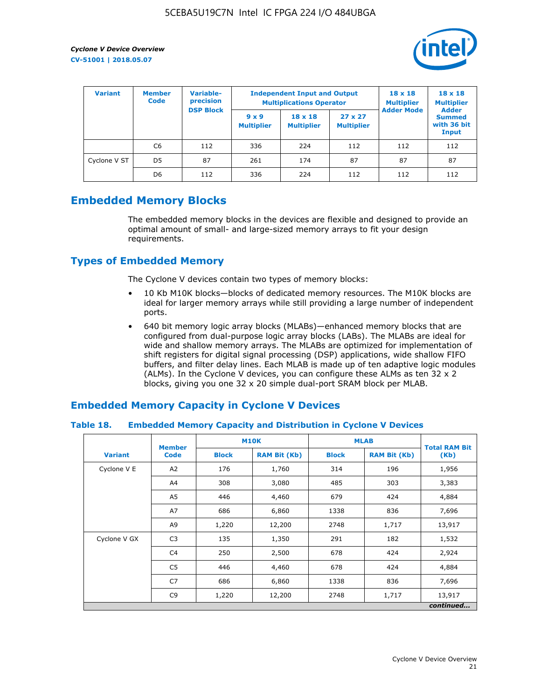

| <b>Variant</b> | <b>Variable-</b><br><b>Member</b><br>precision<br><b>Code</b><br><b>DSP Block</b> |     | <b>Independent Input and Output</b><br><b>Multiplications Operator</b> | $18 \times 18$<br><b>Multiplier</b> | $18 \times 18$<br><b>Multiplier</b><br><b>Adder</b> |                   |                                       |
|----------------|-----------------------------------------------------------------------------------|-----|------------------------------------------------------------------------|-------------------------------------|-----------------------------------------------------|-------------------|---------------------------------------|
|                |                                                                                   |     | $9 \times 9$<br><b>Multiplier</b>                                      | $18 \times 18$<br><b>Multiplier</b> | $27 \times 27$<br><b>Multiplier</b>                 | <b>Adder Mode</b> | <b>Summed</b><br>with 36 bit<br>Input |
|                | C6                                                                                | 112 | 336                                                                    | 224                                 | 112                                                 | 112               | 112                                   |
| Cyclone V ST   | D <sub>5</sub>                                                                    | 87  | 261                                                                    | 174                                 | 87                                                  | 87                | 87                                    |
|                | D <sub>6</sub>                                                                    | 112 | 336                                                                    | 224                                 | 112                                                 | 112               | 112                                   |

### **Embedded Memory Blocks**

The embedded memory blocks in the devices are flexible and designed to provide an optimal amount of small- and large-sized memory arrays to fit your design requirements.

### **Types of Embedded Memory**

The Cyclone V devices contain two types of memory blocks:

- 10 Kb M10K blocks—blocks of dedicated memory resources. The M10K blocks are ideal for larger memory arrays while still providing a large number of independent ports.
- 640 bit memory logic array blocks (MLABs)—enhanced memory blocks that are configured from dual-purpose logic array blocks (LABs). The MLABs are ideal for wide and shallow memory arrays. The MLABs are optimized for implementation of shift registers for digital signal processing (DSP) applications, wide shallow FIFO buffers, and filter delay lines. Each MLAB is made up of ten adaptive logic modules (ALMs). In the Cyclone V devices, you can configure these ALMs as ten 32 x 2 blocks, giving you one 32 x 20 simple dual-port SRAM block per MLAB.

### **Embedded Memory Capacity in Cyclone V Devices**

### **Table 18. Embedded Memory Capacity and Distribution in Cyclone V Devices**

|                | <b>Member</b>  | <b>M10K</b>  |                     | <b>MLAB</b>  | <b>Total RAM Bit</b> |           |
|----------------|----------------|--------------|---------------------|--------------|----------------------|-----------|
| <b>Variant</b> | <b>Code</b>    | <b>Block</b> | <b>RAM Bit (Kb)</b> | <b>Block</b> | <b>RAM Bit (Kb)</b>  | (Kb)      |
| Cyclone V E    | A2             | 176          | 1,760               | 314          | 196                  | 1,956     |
|                | A4             | 308          | 3,080               | 485          | 303                  | 3,383     |
|                | A5             | 446          | 4,460               | 679          | 424                  | 4,884     |
|                | A7             | 686          | 6,860               | 1338         | 836                  | 7,696     |
|                | A9             | 1,220        | 12,200              | 2748         | 1,717                | 13,917    |
| Cyclone V GX   | C <sub>3</sub> | 135          | 1,350               | 291          | 182                  | 1,532     |
|                | C <sub>4</sub> | 250          | 2,500               | 678          | 424                  | 2,924     |
|                | C <sub>5</sub> | 446          | 4,460               | 678          | 424                  | 4,884     |
|                | C <sub>7</sub> | 686          | 6,860               | 1338         | 836                  | 7,696     |
|                | C <sub>9</sub> | 1,220        | 12,200              | 2748         | 1,717                | 13,917    |
|                |                |              |                     |              |                      | continued |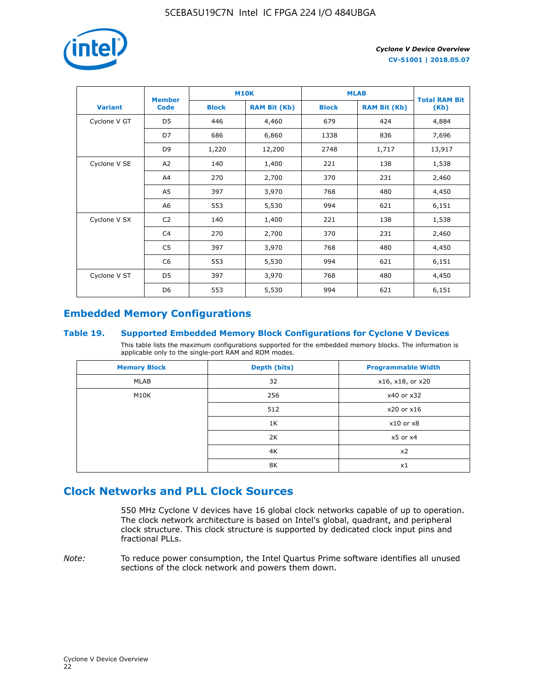

|                | <b>Member</b>  | <b>M10K</b>  |                     | <b>MLAB</b>  | <b>Total RAM Bit</b> |        |
|----------------|----------------|--------------|---------------------|--------------|----------------------|--------|
| <b>Variant</b> | <b>Code</b>    | <b>Block</b> | <b>RAM Bit (Kb)</b> | <b>Block</b> | <b>RAM Bit (Kb)</b>  | (Kb)   |
| Cyclone V GT   | D <sub>5</sub> | 446          | 4,460               | 679          | 424                  | 4,884  |
|                | D7             | 686          | 6,860               | 1338         | 836                  | 7,696  |
|                | D <sub>9</sub> | 1,220        | 12,200              | 2748         | 1,717                | 13,917 |
| Cyclone V SE   | A <sub>2</sub> | 140          | 1,400               | 221          | 138                  | 1,538  |
|                | A4             | 270          | 2,700               | 370          | 231                  | 2,460  |
|                | A5             | 397          | 3,970               | 768          | 480                  | 4,450  |
|                | A6             | 553          | 5,530               | 994          | 621                  | 6,151  |
| Cyclone V SX   | C <sub>2</sub> | 140          | 1,400               | 221          | 138                  | 1,538  |
|                | C <sub>4</sub> | 270          | 2,700               | 370          | 231                  | 2,460  |
|                | C5             | 397          | 3,970               | 768          | 480                  | 4,450  |
|                | C <sub>6</sub> | 553          | 5,530               | 994          | 621                  | 6,151  |
| Cyclone V ST   | D <sub>5</sub> | 397          | 3,970               | 768          | 480                  | 4,450  |
|                | D <sub>6</sub> | 553          | 5,530               | 994          | 621                  | 6,151  |

### **Embedded Memory Configurations**

### **Table 19. Supported Embedded Memory Block Configurations for Cyclone V Devices**

This table lists the maximum configurations supported for the embedded memory blocks. The information is applicable only to the single-port RAM and ROM modes.

| <b>Memory Block</b> | Depth (bits) | <b>Programmable Width</b> |
|---------------------|--------------|---------------------------|
| MLAB                | 32           | x16, x18, or x20          |
| M10K                | 256          | x40 or x32                |
|                     | 512          | x20 or x16                |
|                     | 1K           | $x10$ or $x8$             |
|                     | 2K           | $x5$ or $x4$              |
|                     | 4K           | x2                        |
|                     | 8K           | x1                        |

### **Clock Networks and PLL Clock Sources**

550 MHz Cyclone V devices have 16 global clock networks capable of up to operation. The clock network architecture is based on Intel's global, quadrant, and peripheral clock structure. This clock structure is supported by dedicated clock input pins and fractional PLLs.

*Note:* To reduce power consumption, the Intel Quartus Prime software identifies all unused sections of the clock network and powers them down.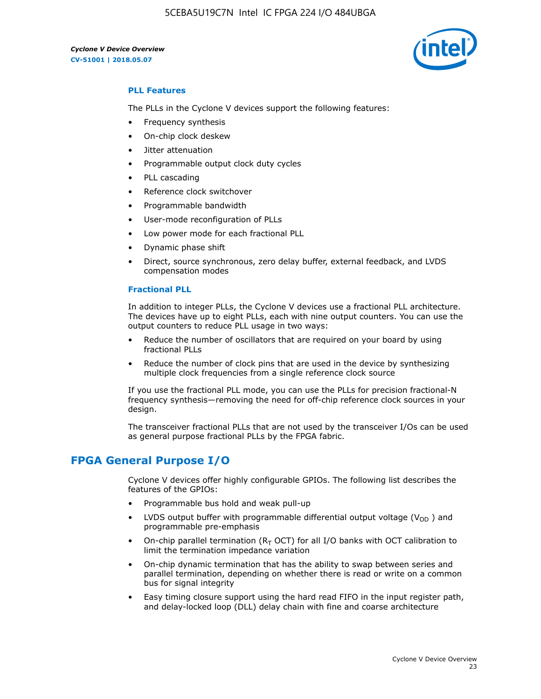5CEBA5U19C7N Intel IC FPGA 224 I/O 484UBGA

*Cyclone V Device Overview* **CV-51001 | 2018.05.07**



### **PLL Features**

The PLLs in the Cyclone V devices support the following features:

- Frequency synthesis
- On-chip clock deskew
- Jitter attenuation
- Programmable output clock duty cycles
- PLL cascading
- Reference clock switchover
- Programmable bandwidth
- User-mode reconfiguration of PLLs
- Low power mode for each fractional PLL
- Dynamic phase shift
- Direct, source synchronous, zero delay buffer, external feedback, and LVDS compensation modes

#### **Fractional PLL**

In addition to integer PLLs, the Cyclone V devices use a fractional PLL architecture. The devices have up to eight PLLs, each with nine output counters. You can use the output counters to reduce PLL usage in two ways:

- Reduce the number of oscillators that are required on your board by using fractional PLLs
- Reduce the number of clock pins that are used in the device by synthesizing multiple clock frequencies from a single reference clock source

If you use the fractional PLL mode, you can use the PLLs for precision fractional-N frequency synthesis—removing the need for off-chip reference clock sources in your design.

The transceiver fractional PLLs that are not used by the transceiver I/Os can be used as general purpose fractional PLLs by the FPGA fabric.

### **FPGA General Purpose I/O**

Cyclone V devices offer highly configurable GPIOs. The following list describes the features of the GPIOs:

- Programmable bus hold and weak pull-up
- LVDS output buffer with programmable differential output voltage ( $V_{OD}$ ) and programmable pre-emphasis
- On-chip parallel termination ( $R<sub>T</sub>$  OCT) for all I/O banks with OCT calibration to limit the termination impedance variation
- On-chip dynamic termination that has the ability to swap between series and parallel termination, depending on whether there is read or write on a common bus for signal integrity
- Easy timing closure support using the hard read FIFO in the input register path, and delay-locked loop (DLL) delay chain with fine and coarse architecture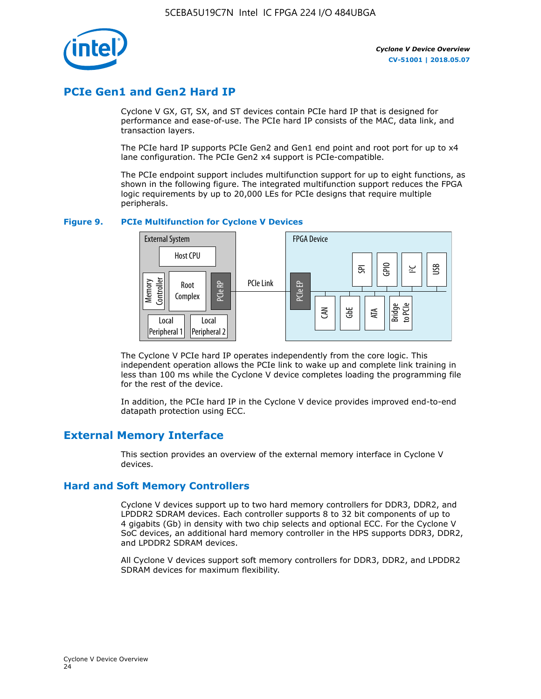

### **PCIe Gen1 and Gen2 Hard IP**

Cyclone V GX, GT, SX, and ST devices contain PCIe hard IP that is designed for performance and ease-of-use. The PCIe hard IP consists of the MAC, data link, and transaction layers.

The PCIe hard IP supports PCIe Gen2 and Gen1 end point and root port for up to x4 lane configuration. The PCIe Gen2 x4 support is PCIe-compatible.

The PCIe endpoint support includes multifunction support for up to eight functions, as shown in the following figure. The integrated multifunction support reduces the FPGA logic requirements by up to 20,000 LEs for PCIe designs that require multiple peripherals.

### **Figure 9. PCIe Multifunction for Cyclone V Devices**



The Cyclone V PCIe hard IP operates independently from the core logic. This independent operation allows the PCIe link to wake up and complete link training in less than 100 ms while the Cyclone V device completes loading the programming file for the rest of the device.

In addition, the PCIe hard IP in the Cyclone V device provides improved end-to-end datapath protection using ECC.

### **External Memory Interface**

This section provides an overview of the external memory interface in Cyclone V devices.

### **Hard and Soft Memory Controllers**

Cyclone V devices support up to two hard memory controllers for DDR3, DDR2, and LPDDR2 SDRAM devices. Each controller supports 8 to 32 bit components of up to 4 gigabits (Gb) in density with two chip selects and optional ECC. For the Cyclone V SoC devices, an additional hard memory controller in the HPS supports DDR3, DDR2, and LPDDR2 SDRAM devices.

All Cyclone V devices support soft memory controllers for DDR3, DDR2, and LPDDR2 SDRAM devices for maximum flexibility.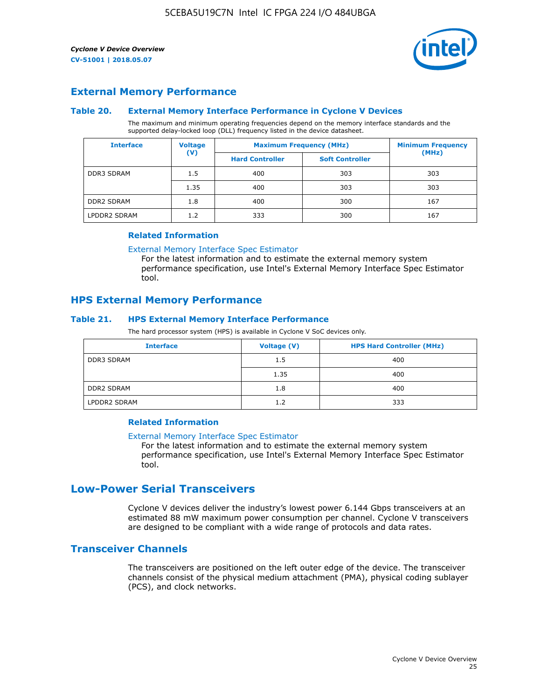

### **External Memory Performance**

#### **Table 20. External Memory Interface Performance in Cyclone V Devices**

The maximum and minimum operating frequencies depend on the memory interface standards and the supported delay-locked loop (DLL) frequency listed in the device datasheet.

| <b>Interface</b>  | <b>Voltage</b> | <b>Maximum Frequency (MHz)</b> | <b>Minimum Frequency</b> |       |  |
|-------------------|----------------|--------------------------------|--------------------------|-------|--|
|                   | $(\mathsf{V})$ | <b>Hard Controller</b>         | <b>Soft Controller</b>   | (MHz) |  |
| <b>DDR3 SDRAM</b> | 1.5            | 400<br>303                     |                          | 303   |  |
|                   | 1.35           | 400                            | 303                      | 303   |  |
| <b>DDR2 SDRAM</b> | 1.8            | 400                            | 300                      | 167   |  |
| LPDDR2 SDRAM      | 1.2            | 333                            | 300                      | 167   |  |

#### **Related Information**

[External Memory Interface Spec Estimator](https://www.altera.com/solutions/technology/external-memory/spec-estimator.html)

For the latest information and to estimate the external memory system performance specification, use Intel's External Memory Interface Spec Estimator tool.

### **HPS External Memory Performance**

### **Table 21. HPS External Memory Interface Performance**

The hard processor system (HPS) is available in Cyclone V SoC devices only.

| <b>Interface</b>  | Voltage (V) | <b>HPS Hard Controller (MHz)</b> |
|-------------------|-------------|----------------------------------|
| <b>DDR3 SDRAM</b> | 1.5         | 400                              |
|                   | 1.35        | 400                              |
| <b>DDR2 SDRAM</b> | 1.8         | 400                              |
| LPDDR2 SDRAM      | 1.2         | 333                              |

### **Related Information**

#### [External Memory Interface Spec Estimator](https://www.altera.com/solutions/technology/external-memory/spec-estimator.html)

For the latest information and to estimate the external memory system performance specification, use Intel's External Memory Interface Spec Estimator tool.

### **Low-Power Serial Transceivers**

Cyclone V devices deliver the industry's lowest power 6.144 Gbps transceivers at an estimated 88 mW maximum power consumption per channel. Cyclone V transceivers are designed to be compliant with a wide range of protocols and data rates.

### **Transceiver Channels**

The transceivers are positioned on the left outer edge of the device. The transceiver channels consist of the physical medium attachment (PMA), physical coding sublayer (PCS), and clock networks.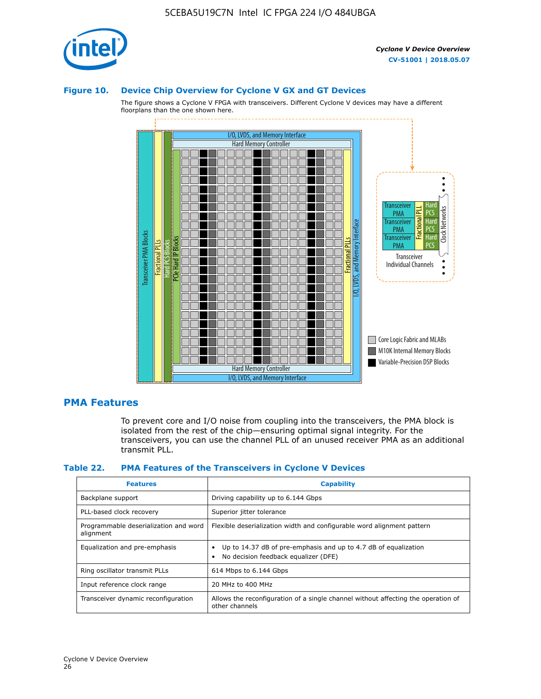

#### **Figure 10. Device Chip Overview for Cyclone V GX and GT Devices**

The figure shows a Cyclone V FPGA with transceivers. Different Cyclone V devices may have a different floorplans than the one shown here.



### **PMA Features**

To prevent core and I/O noise from coupling into the transceivers, the PMA block is isolated from the rest of the chip—ensuring optimal signal integrity. For the transceivers, you can use the channel PLL of an unused receiver PMA as an additional transmit PLL.

#### **Table 22. PMA Features of the Transceivers in Cyclone V Devices**

| <b>Features</b>                                    | <b>Capability</b>                                                                                       |
|----------------------------------------------------|---------------------------------------------------------------------------------------------------------|
| Backplane support                                  | Driving capability up to 6.144 Gbps                                                                     |
| PLL-based clock recovery                           | Superior jitter tolerance                                                                               |
| Programmable deserialization and word<br>alignment | Flexible deserialization width and configurable word alignment pattern                                  |
| Equalization and pre-emphasis                      | Up to 14.37 dB of pre-emphasis and up to 4.7 dB of equalization<br>No decision feedback equalizer (DFE) |
| Ring oscillator transmit PLLs                      | 614 Mbps to 6.144 Gbps                                                                                  |
| Input reference clock range                        | 20 MHz to 400 MHz                                                                                       |
| Transceiver dynamic reconfiguration                | Allows the reconfiguration of a single channel without affecting the operation of<br>other channels     |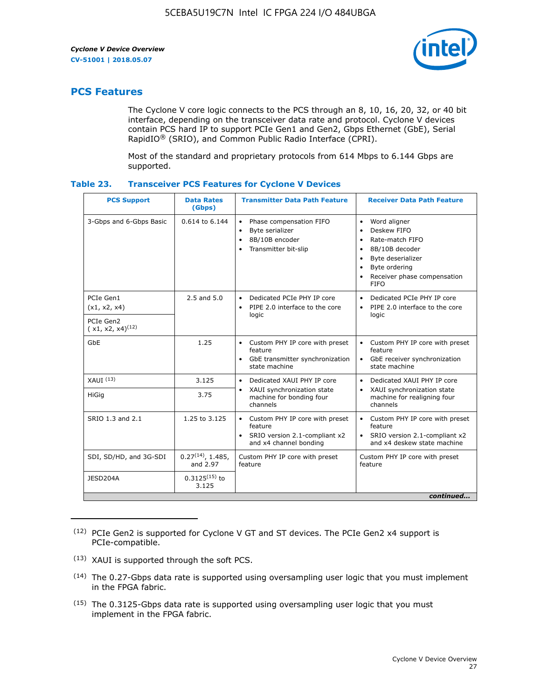

### **PCS Features**

The Cyclone V core logic connects to the PCS through an 8, 10, 16, 20, 32, or 40 bit interface, depending on the transceiver data rate and protocol. Cyclone V devices contain PCS hard IP to support PCIe Gen1 and Gen2, Gbps Ethernet (GbE), Serial RapidIO® (SRIO), and Common Public Radio Interface (CPRI).

Most of the standard and proprietary protocols from 614 Mbps to 6.144 Gbps are supported.

| Table 23. | <b>Transceiver PCS Features for Cyclone V Devices</b> |  |  |
|-----------|-------------------------------------------------------|--|--|
|           |                                                       |  |  |

| <b>PCS Support</b>                 | <b>Data Rates</b><br>(Gbps)        | <b>Transmitter Data Path Feature</b>                                                                         | <b>Receiver Data Path Feature</b>                                                                                                                                                                                                  |  |  |  |
|------------------------------------|------------------------------------|--------------------------------------------------------------------------------------------------------------|------------------------------------------------------------------------------------------------------------------------------------------------------------------------------------------------------------------------------------|--|--|--|
| 3-Gbps and 6-Gbps Basic            | 0.614 to 6.144                     | • Phase compensation FIFO<br>Byte serializer<br>8B/10B encoder<br>Transmitter bit-slip                       | Word aligner<br>$\bullet$<br>Deskew FIFO<br>$\bullet$<br>Rate-match FIFO<br>$\bullet$<br>8B/10B decoder<br>$\bullet$<br>Byte deserializer<br>$\bullet$<br>Byte ordering<br>$\bullet$<br>Receiver phase compensation<br><b>FIFO</b> |  |  |  |
| PCIe Gen1<br>(x1, x2, x4)          | $2.5$ and $5.0$                    | Dedicated PCIe PHY IP core<br>PIPE 2.0 interface to the core<br>$\bullet$<br>logic                           | Dedicated PCIe PHY IP core<br>$\bullet$<br>PIPE 2.0 interface to the core<br>$\bullet$<br>logic                                                                                                                                    |  |  |  |
| PCIe Gen2<br>$(x1, x2, x4)^{(12)}$ |                                    |                                                                                                              |                                                                                                                                                                                                                                    |  |  |  |
| GbE                                | 1.25                               | • Custom PHY IP core with preset<br>feature<br>GbE transmitter synchronization<br>$\bullet$<br>state machine | • Custom PHY IP core with preset<br>feature<br>GbE receiver synchronization<br>state machine                                                                                                                                       |  |  |  |
| $XAUI$ $(13)$                      | 3.125                              | Dedicated XAUI PHY IP core<br>$\bullet$                                                                      | Dedicated XAUI PHY IP core<br>$\bullet$                                                                                                                                                                                            |  |  |  |
| <b>HiGig</b>                       | 3.75                               | XAUI synchronization state<br>$\bullet$<br>machine for bonding four<br>channels                              | XAUI synchronization state<br>$\bullet$<br>machine for realigning four<br>channels                                                                                                                                                 |  |  |  |
| SRIO 1.3 and 2.1                   | 1.25 to 3.125                      | • Custom PHY IP core with preset<br>feature<br>• SRIO version 2.1-compliant x2<br>and x4 channel bonding     | • Custom PHY IP core with preset<br>feature<br>• SRIO version 2.1-compliant x2<br>and x4 deskew state machine                                                                                                                      |  |  |  |
| SDI, SD/HD, and 3G-SDI             | $0.27^{(14)}$ , 1.485,<br>and 2.97 | Custom PHY IP core with preset<br>feature                                                                    | Custom PHY IP core with preset<br>feature                                                                                                                                                                                          |  |  |  |
| JESD204A                           | $0.3125^{(15)}$ to<br>3.125        |                                                                                                              |                                                                                                                                                                                                                                    |  |  |  |
| continued                          |                                    |                                                                                                              |                                                                                                                                                                                                                                    |  |  |  |

<sup>(12)</sup> PCIe Gen2 is supported for Cyclone V GT and ST devices. The PCIe Gen2 x4 support is PCIe-compatible.

<sup>(13)</sup> XAUI is supported through the soft PCS.

<sup>(14)</sup> The 0.27-Gbps data rate is supported using oversampling user logic that you must implement in the FPGA fabric.

<sup>(15)</sup> The 0.3125-Gbps data rate is supported using oversampling user logic that you must implement in the FPGA fabric.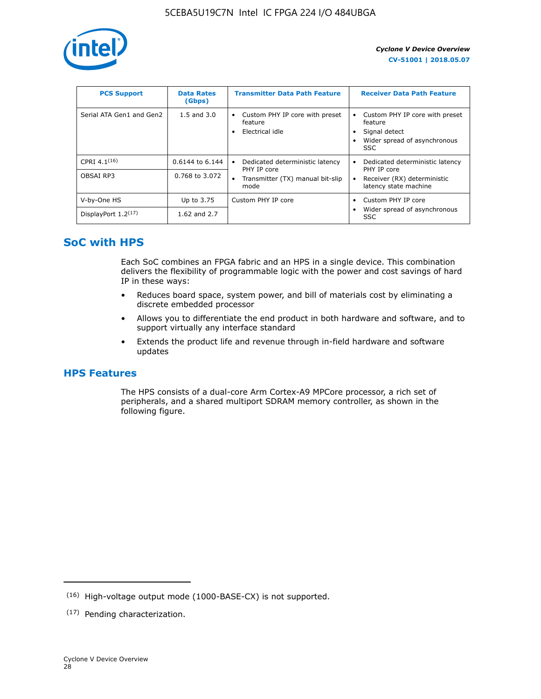

| <b>PCS Support</b>       | <b>Data Rates</b><br>(Gbps) | <b>Transmitter Data Path Feature</b>                              | <b>Receiver Data Path Feature</b>                                                                        |
|--------------------------|-----------------------------|-------------------------------------------------------------------|----------------------------------------------------------------------------------------------------------|
| Serial ATA Gen1 and Gen2 | $1.5$ and $3.0$             | Custom PHY IP core with preset<br>٠<br>feature<br>Electrical idle | Custom PHY IP core with preset<br>feature<br>Signal detect<br>Wider spread of asynchronous<br><b>SSC</b> |
| CPRI 4.1 $(16)$          | $0.6144$ to 6.144           | Dedicated deterministic latency<br>$\bullet$<br>PHY IP core       | Dedicated deterministic latency<br>PHY IP core                                                           |
| OBSAI RP3                | 0.768 to 3.072              | Transmitter (TX) manual bit-slip<br>mode                          | Receiver (RX) deterministic<br>latency state machine                                                     |
| V-by-One HS              | Up to 3.75                  | Custom PHY IP core                                                | Custom PHY IP core                                                                                       |
| DisplayPort $1.2^{(17)}$ | 1.62 and $2.7$              |                                                                   | Wider spread of asynchronous<br>SSC                                                                      |

### **SoC with HPS**

Each SoC combines an FPGA fabric and an HPS in a single device. This combination delivers the flexibility of programmable logic with the power and cost savings of hard IP in these ways:

- Reduces board space, system power, and bill of materials cost by eliminating a discrete embedded processor
- Allows you to differentiate the end product in both hardware and software, and to support virtually any interface standard
- Extends the product life and revenue through in-field hardware and software updates

### **HPS Features**

The HPS consists of a dual-core Arm Cortex-A9 MPCore processor, a rich set of peripherals, and a shared multiport SDRAM memory controller, as shown in the following figure.

<sup>(16)</sup> High-voltage output mode (1000-BASE-CX) is not supported.

<sup>(17)</sup> Pending characterization.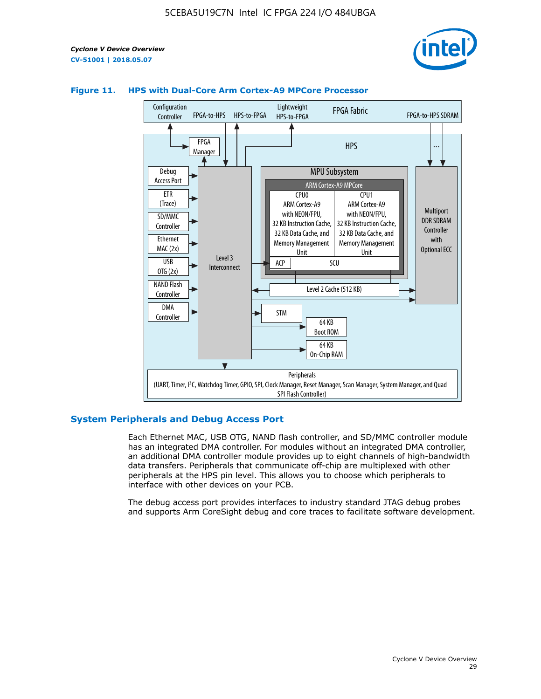



### **Figure 11. HPS with Dual-Core Arm Cortex-A9 MPCore Processor**

### **System Peripherals and Debug Access Port**

Each Ethernet MAC, USB OTG, NAND flash controller, and SD/MMC controller module has an integrated DMA controller. For modules without an integrated DMA controller, an additional DMA controller module provides up to eight channels of high-bandwidth data transfers. Peripherals that communicate off-chip are multiplexed with other peripherals at the HPS pin level. This allows you to choose which peripherals to interface with other devices on your PCB.

The debug access port provides interfaces to industry standard JTAG debug probes and supports Arm CoreSight debug and core traces to facilitate software development.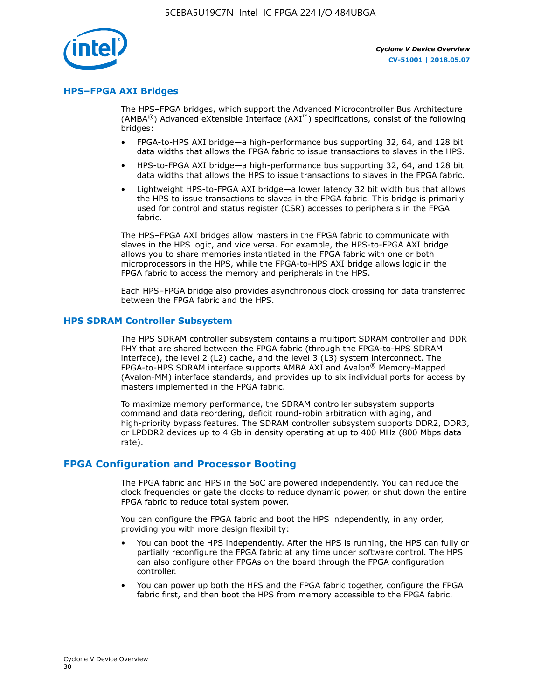

### **HPS–FPGA AXI Bridges**

The HPS–FPGA bridges, which support the Advanced Microcontroller Bus Architecture (AMBA<sup>®</sup>) Advanced eXtensible Interface (AXI<sup>™</sup>) specifications, consist of the following bridges:

- FPGA-to-HPS AXI bridge—a high-performance bus supporting 32, 64, and 128 bit data widths that allows the FPGA fabric to issue transactions to slaves in the HPS.
- HPS-to-FPGA AXI bridge—a high-performance bus supporting 32, 64, and 128 bit data widths that allows the HPS to issue transactions to slaves in the FPGA fabric.
- Lightweight HPS-to-FPGA AXI bridge—a lower latency 32 bit width bus that allows the HPS to issue transactions to slaves in the FPGA fabric. This bridge is primarily used for control and status register (CSR) accesses to peripherals in the FPGA fabric.

The HPS–FPGA AXI bridges allow masters in the FPGA fabric to communicate with slaves in the HPS logic, and vice versa. For example, the HPS-to-FPGA AXI bridge allows you to share memories instantiated in the FPGA fabric with one or both microprocessors in the HPS, while the FPGA-to-HPS AXI bridge allows logic in the FPGA fabric to access the memory and peripherals in the HPS.

Each HPS–FPGA bridge also provides asynchronous clock crossing for data transferred between the FPGA fabric and the HPS.

### **HPS SDRAM Controller Subsystem**

The HPS SDRAM controller subsystem contains a multiport SDRAM controller and DDR PHY that are shared between the FPGA fabric (through the FPGA-to-HPS SDRAM interface), the level 2 (L2) cache, and the level 3 (L3) system interconnect. The FPGA-to-HPS SDRAM interface supports AMBA AXI and Avalon® Memory-Mapped (Avalon-MM) interface standards, and provides up to six individual ports for access by masters implemented in the FPGA fabric.

To maximize memory performance, the SDRAM controller subsystem supports command and data reordering, deficit round-robin arbitration with aging, and high-priority bypass features. The SDRAM controller subsystem supports DDR2, DDR3, or LPDDR2 devices up to 4 Gb in density operating at up to 400 MHz (800 Mbps data rate).

### **FPGA Configuration and Processor Booting**

The FPGA fabric and HPS in the SoC are powered independently. You can reduce the clock frequencies or gate the clocks to reduce dynamic power, or shut down the entire FPGA fabric to reduce total system power.

You can configure the FPGA fabric and boot the HPS independently, in any order, providing you with more design flexibility:

- You can boot the HPS independently. After the HPS is running, the HPS can fully or partially reconfigure the FPGA fabric at any time under software control. The HPS can also configure other FPGAs on the board through the FPGA configuration controller.
- You can power up both the HPS and the FPGA fabric together, configure the FPGA fabric first, and then boot the HPS from memory accessible to the FPGA fabric.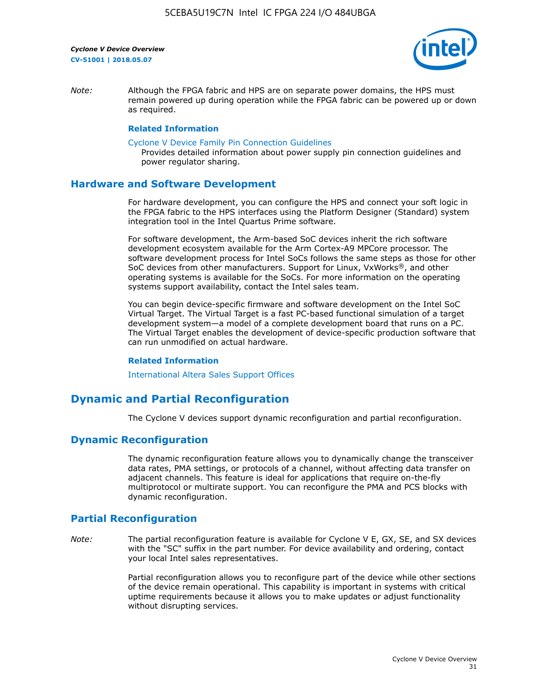

*Note:* Although the FPGA fabric and HPS are on separate power domains, the HPS must remain powered up during operation while the FPGA fabric can be powered up or down as required.

### **Related Information**

[Cyclone V Device Family Pin Connection Guidelines](https://www.altera.com/content/dam/altera-www/global/en_US/pdfs/literature/dp/cyclone-v/pcg-01014.pdf)

Provides detailed information about power supply pin connection guidelines and power regulator sharing.

### **Hardware and Software Development**

For hardware development, you can configure the HPS and connect your soft logic in the FPGA fabric to the HPS interfaces using the Platform Designer (Standard) system integration tool in the Intel Quartus Prime software.

For software development, the Arm-based SoC devices inherit the rich software development ecosystem available for the Arm Cortex-A9 MPCore processor. The software development process for Intel SoCs follows the same steps as those for other SoC devices from other manufacturers. Support for Linux, VxWorks®, and other operating systems is available for the SoCs. For more information on the operating systems support availability, contact the Intel sales team.

You can begin device-specific firmware and software development on the Intel SoC Virtual Target. The Virtual Target is a fast PC-based functional simulation of a target development system—a model of a complete development board that runs on a PC. The Virtual Target enables the development of device-specific production software that can run unmodified on actual hardware.

#### **Related Information**

[International Altera Sales Support Offices](https://www.altera.com/about/contact/contact/international-altera-sales-offices.html)

### **Dynamic and Partial Reconfiguration**

The Cyclone V devices support dynamic reconfiguration and partial reconfiguration.

### **Dynamic Reconfiguration**

The dynamic reconfiguration feature allows you to dynamically change the transceiver data rates, PMA settings, or protocols of a channel, without affecting data transfer on adjacent channels. This feature is ideal for applications that require on-the-fly multiprotocol or multirate support. You can reconfigure the PMA and PCS blocks with dynamic reconfiguration.

### **Partial Reconfiguration**

*Note:* The partial reconfiguration feature is available for Cyclone V E, GX, SE, and SX devices with the "SC" suffix in the part number. For device availability and ordering, contact your local Intel sales representatives.

> Partial reconfiguration allows you to reconfigure part of the device while other sections of the device remain operational. This capability is important in systems with critical uptime requirements because it allows you to make updates or adjust functionality without disrupting services.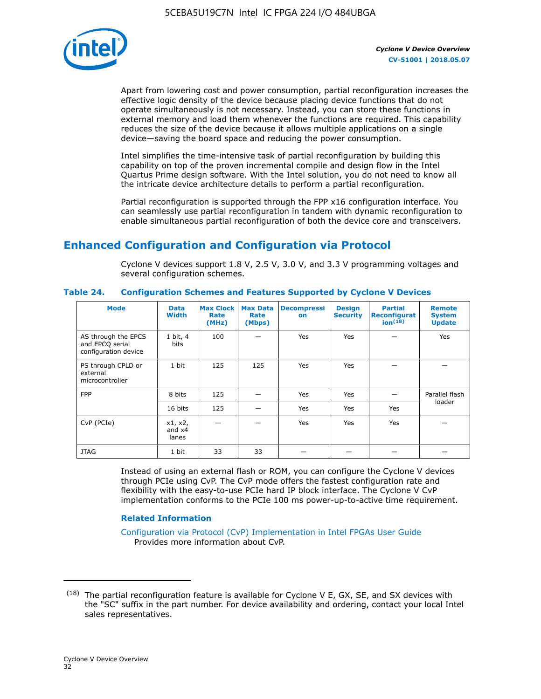

Apart from lowering cost and power consumption, partial reconfiguration increases the effective logic density of the device because placing device functions that do not operate simultaneously is not necessary. Instead, you can store these functions in external memory and load them whenever the functions are required. This capability reduces the size of the device because it allows multiple applications on a single device—saving the board space and reducing the power consumption.

Intel simplifies the time-intensive task of partial reconfiguration by building this capability on top of the proven incremental compile and design flow in the Intel Quartus Prime design software. With the Intel solution, you do not need to know all the intricate device architecture details to perform a partial reconfiguration.

Partial reconfiguration is supported through the FPP x16 configuration interface. You can seamlessly use partial reconfiguration in tandem with dynamic reconfiguration to enable simultaneous partial reconfiguration of both the device core and transceivers.

### **Enhanced Configuration and Configuration via Protocol**

Cyclone V devices support 1.8 V, 2.5 V, 3.0 V, and 3.3 V programming voltages and several configuration schemes.

| <b>Mode</b>                                                    | <b>Data</b><br>Width         | Max Clock  <br>Rate<br>(MHz) | <b>Max Data</b><br>Rate<br>(Mbps) | <b>Decompressi</b><br>on | <b>Design</b><br><b>Security</b> | <b>Partial</b><br>Reconfigurat<br>ion <sup>(18)</sup> | <b>Remote</b><br><b>System</b><br><b>Update</b> |
|----------------------------------------------------------------|------------------------------|------------------------------|-----------------------------------|--------------------------|----------------------------------|-------------------------------------------------------|-------------------------------------------------|
| AS through the EPCS<br>and EPCQ serial<br>configuration device | 1 bit, 4<br>bits             | 100                          |                                   | Yes                      | <b>Yes</b>                       |                                                       | Yes                                             |
| PS through CPLD or<br>external<br>microcontroller              | 1 bit                        | 125                          | 125                               | Yes                      | Yes                              |                                                       |                                                 |
| <b>FPP</b>                                                     | 8 bits                       | 125                          |                                   | Yes                      | <b>Yes</b>                       |                                                       | Parallel flash<br>loader                        |
|                                                                | 16 bits                      | 125                          |                                   | Yes                      | <b>Yes</b>                       | Yes                                                   |                                                 |
| CvP (PCIe)                                                     | x1, x2,<br>and $x4$<br>lanes |                              |                                   | Yes                      | <b>Yes</b>                       | Yes                                                   |                                                 |
| <b>JTAG</b>                                                    | 1 bit                        | 33                           | 33                                |                          |                                  |                                                       |                                                 |

**Table 24. Configuration Schemes and Features Supported by Cyclone V Devices**

Instead of using an external flash or ROM, you can configure the Cyclone V devices through PCIe using CvP. The CvP mode offers the fastest configuration rate and flexibility with the easy-to-use PCIe hard IP block interface. The Cyclone V CvP implementation conforms to the PCIe 100 ms power-up-to-active time requirement.

### **Related Information**

[Configuration via Protocol \(CvP\) Implementation in Intel FPGAs User Guide](https://www.altera.com/documentation/nik1412546950394.html#nik1412546833714) Provides more information about CvP.

 $(18)$  The partial reconfiguration feature is available for Cyclone V E, GX, SE, and SX devices with the "SC" suffix in the part number. For device availability and ordering, contact your local Intel sales representatives.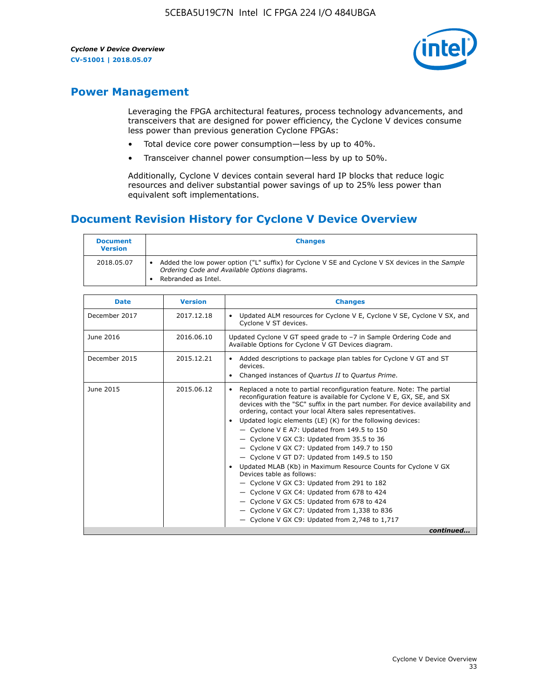

### **Power Management**

Leveraging the FPGA architectural features, process technology advancements, and transceivers that are designed for power efficiency, the Cyclone V devices consume less power than previous generation Cyclone FPGAs:

- Total device core power consumption—less by up to 40%.
- Transceiver channel power consumption—less by up to 50%.

Additionally, Cyclone V devices contain several hard IP blocks that reduce logic resources and deliver substantial power savings of up to 25% less power than equivalent soft implementations.

### **Document Revision History for Cyclone V Device Overview**

| <b>Document</b><br><b>Version</b> | <b>Changes</b>                                                                                                                                                          |
|-----------------------------------|-------------------------------------------------------------------------------------------------------------------------------------------------------------------------|
| 2018.05.07                        | Added the low power option ("L" suffix) for Cyclone V SE and Cyclone V SX devices in the Sample<br>Ordering Code and Available Options diagrams.<br>Rebranded as Intel. |

| <b>Date</b>   | <b>Version</b> | <b>Changes</b>                                                                                                                                                                                                                                                                                                                                                                                                                                                                                                                                                                                                                                                                                                                                                                                                                                                                                                  |
|---------------|----------------|-----------------------------------------------------------------------------------------------------------------------------------------------------------------------------------------------------------------------------------------------------------------------------------------------------------------------------------------------------------------------------------------------------------------------------------------------------------------------------------------------------------------------------------------------------------------------------------------------------------------------------------------------------------------------------------------------------------------------------------------------------------------------------------------------------------------------------------------------------------------------------------------------------------------|
| December 2017 | 2017.12.18     | Updated ALM resources for Cyclone V E, Cyclone V SE, Cyclone V SX, and<br>Cyclone V ST devices.                                                                                                                                                                                                                                                                                                                                                                                                                                                                                                                                                                                                                                                                                                                                                                                                                 |
| June 2016     | 2016.06.10     | Updated Cyclone V GT speed grade to -7 in Sample Ordering Code and<br>Available Options for Cyclone V GT Devices diagram.                                                                                                                                                                                                                                                                                                                                                                                                                                                                                                                                                                                                                                                                                                                                                                                       |
| December 2015 | 2015.12.21     | Added descriptions to package plan tables for Cyclone V GT and ST<br>devices.<br>Changed instances of Quartus II to Quartus Prime.                                                                                                                                                                                                                                                                                                                                                                                                                                                                                                                                                                                                                                                                                                                                                                              |
| June 2015     | 2015.06.12     | Replaced a note to partial reconfiguration feature. Note: The partial<br>reconfiguration feature is available for Cyclone V E, GX, SE, and SX<br>devices with the "SC" suffix in the part number. For device availability and<br>ordering, contact your local Altera sales representatives.<br>Updated logic elements (LE) (K) for the following devices:<br>$\bullet$<br>- Cyclone V E A7: Updated from 149.5 to 150<br>- Cyclone V GX C3: Updated from 35.5 to 36<br>- Cyclone V GX C7: Updated from 149.7 to 150<br>- Cyclone V GT D7: Updated from 149.5 to 150<br>Updated MLAB (Kb) in Maximum Resource Counts for Cyclone V GX<br>Devices table as follows:<br>- Cyclone V GX C3: Updated from 291 to 182<br>- Cyclone V GX C4: Updated from 678 to 424<br>- Cyclone V GX C5: Updated from 678 to 424<br>- Cyclone V GX C7: Updated from 1,338 to 836<br>$-$ Cyclone V GX C9: Updated from 2,748 to 1,717 |
|               |                | continued                                                                                                                                                                                                                                                                                                                                                                                                                                                                                                                                                                                                                                                                                                                                                                                                                                                                                                       |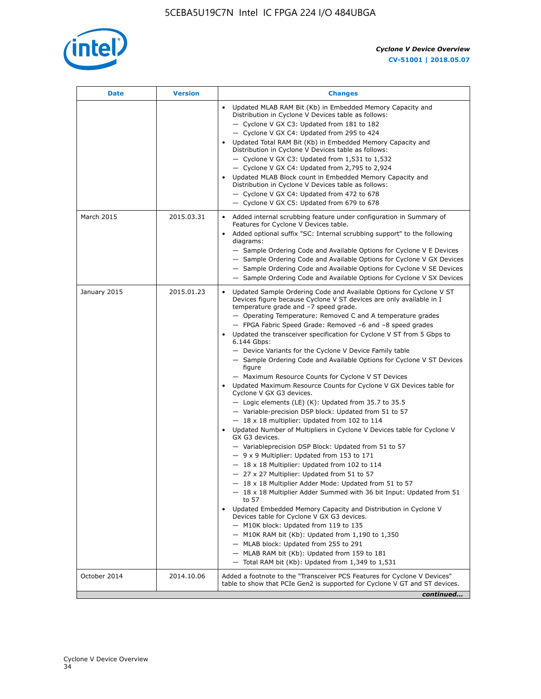

| <b>Date</b>  | <b>Version</b> | <b>Changes</b>                                                                                                                                                                                                                                                                                                                                                                                                                                                                                                                                                                                                                                                                                                                                                                                                                                                                                                                                                                                                                                                                                                                                                                                                                                                                                                                                                                                                                                                                                                                                                                                                                                                                                                |
|--------------|----------------|---------------------------------------------------------------------------------------------------------------------------------------------------------------------------------------------------------------------------------------------------------------------------------------------------------------------------------------------------------------------------------------------------------------------------------------------------------------------------------------------------------------------------------------------------------------------------------------------------------------------------------------------------------------------------------------------------------------------------------------------------------------------------------------------------------------------------------------------------------------------------------------------------------------------------------------------------------------------------------------------------------------------------------------------------------------------------------------------------------------------------------------------------------------------------------------------------------------------------------------------------------------------------------------------------------------------------------------------------------------------------------------------------------------------------------------------------------------------------------------------------------------------------------------------------------------------------------------------------------------------------------------------------------------------------------------------------------------|
|              |                | Updated MLAB RAM Bit (Kb) in Embedded Memory Capacity and<br>Distribution in Cyclone V Devices table as follows:<br>- Cyclone V GX C3: Updated from 181 to 182<br>- Cyclone V GX C4: Updated from 295 to 424<br>Updated Total RAM Bit (Kb) in Embedded Memory Capacity and<br>Distribution in Cyclone V Devices table as follows:<br>$-$ Cyclone V GX C3: Updated from 1,531 to 1,532<br>- Cyclone V GX C4: Updated from 2,795 to 2,924<br>Updated MLAB Block count in Embedded Memory Capacity and<br>Distribution in Cyclone V Devices table as follows:<br>- Cyclone V GX C4: Updated from 472 to 678<br>- Cyclone V GX C5: Updated from 679 to 678                                                                                                                                                                                                                                                                                                                                                                                                                                                                                                                                                                                                                                                                                                                                                                                                                                                                                                                                                                                                                                                        |
| March 2015   | 2015.03.31     | Added internal scrubbing feature under configuration in Summary of<br>$\bullet$<br>Features for Cyclone V Devices table.<br>Added optional suffix "SC: Internal scrubbing support" to the following<br>diagrams:<br>- Sample Ordering Code and Available Options for Cyclone V E Devices<br>- Sample Ordering Code and Available Options for Cyclone V GX Devices<br>- Sample Ordering Code and Available Options for Cyclone V SE Devices<br>- Sample Ordering Code and Available Options for Cyclone V SX Devices                                                                                                                                                                                                                                                                                                                                                                                                                                                                                                                                                                                                                                                                                                                                                                                                                                                                                                                                                                                                                                                                                                                                                                                           |
| January 2015 | 2015.01.23     | Updated Sample Ordering Code and Available Options for Cyclone V ST<br>Devices figure because Cyclone V ST devices are only available in I<br>temperature grade and -7 speed grade.<br>- Operating Temperature: Removed C and A temperature grades<br>- FPGA Fabric Speed Grade: Removed -6 and -8 speed grades<br>Updated the transceiver specification for Cyclone V ST from 5 Gbps to<br>6.144 Gbps:<br>- Device Variants for the Cyclone V Device Family table<br>- Sample Ordering Code and Available Options for Cyclone V ST Devices<br>figure<br>- Maximum Resource Counts for Cyclone V ST Devices<br>Updated Maximum Resource Counts for Cyclone V GX Devices table for<br>Cyclone V GX G3 devices.<br>$-$ Logic elements (LE) (K): Updated from 35.7 to 35.5<br>- Variable-precision DSP block: Updated from 51 to 57<br>$-18 \times 18$ multiplier: Updated from 102 to 114<br>Updated Number of Multipliers in Cyclone V Devices table for Cyclone V<br>GX G3 devices.<br>- Variableprecision DSP Block: Updated from 51 to 57<br>$-9x9$ Multiplier: Updated from 153 to 171<br>$-18 \times 18$ Multiplier: Updated from 102 to 114<br>- 27 x 27 Multiplier: Updated from 51 to 57<br>- 18 x 18 Multiplier Adder Mode: Updated from 51 to 57<br>$-18 \times 18$ Multiplier Adder Summed with 36 bit Input: Updated from 51<br>to 57<br>Updated Embedded Memory Capacity and Distribution in Cyclone V<br>Devices table for Cyclone V GX G3 devices.<br>- M10K block: Updated from 119 to 135<br>- M10K RAM bit (Kb): Updated from 1,190 to 1,350<br>- MLAB block: Updated from 255 to 291<br>- MLAB RAM bit (Kb): Updated from 159 to 181<br>$-$ Total RAM bit (Kb): Updated from 1,349 to 1,531 |
| October 2014 | 2014.10.06     | Added a footnote to the "Transceiver PCS Features for Cyclone V Devices"<br>table to show that PCIe Gen2 is supported for Cyclone V GT and ST devices.                                                                                                                                                                                                                                                                                                                                                                                                                                                                                                                                                                                                                                                                                                                                                                                                                                                                                                                                                                                                                                                                                                                                                                                                                                                                                                                                                                                                                                                                                                                                                        |
|              |                | continued                                                                                                                                                                                                                                                                                                                                                                                                                                                                                                                                                                                                                                                                                                                                                                                                                                                                                                                                                                                                                                                                                                                                                                                                                                                                                                                                                                                                                                                                                                                                                                                                                                                                                                     |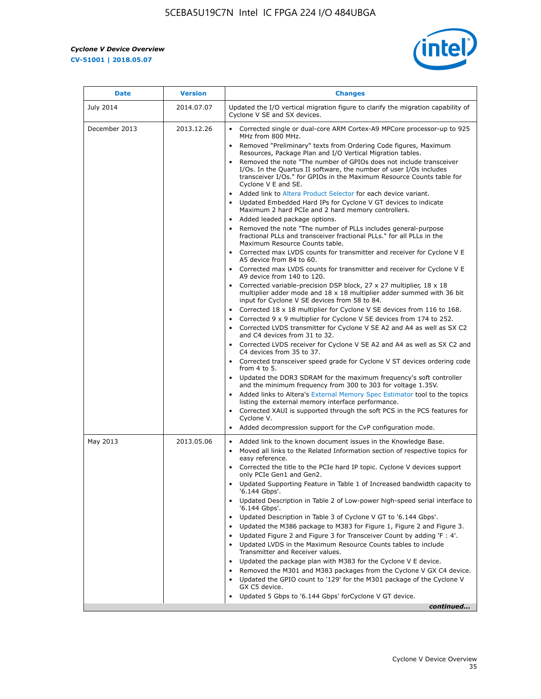$\mathbf{r}$ 



| <b>Date</b>   | <b>Version</b> | <b>Changes</b>                                                                                                                                                                                                                           |
|---------------|----------------|------------------------------------------------------------------------------------------------------------------------------------------------------------------------------------------------------------------------------------------|
| July 2014     | 2014.07.07     | Updated the I/O vertical migration figure to clarify the migration capability of<br>Cyclone V SE and SX devices.                                                                                                                         |
| December 2013 | 2013.12.26     | Corrected single or dual-core ARM Cortex-A9 MPCore processor-up to 925<br>MHz from 800 MHz.                                                                                                                                              |
|               |                | Removed "Preliminary" texts from Ordering Code figures, Maximum<br>Resources, Package Plan and I/O Vertical Migration tables.                                                                                                            |
|               |                | Removed the note "The number of GPIOs does not include transceiver<br>I/Os. In the Quartus II software, the number of user I/Os includes<br>transceiver I/Os." for GPIOs in the Maximum Resource Counts table for<br>Cyclone V E and SE. |
|               |                | Added link to Altera Product Selector for each device variant.<br>Updated Embedded Hard IPs for Cyclone V GT devices to indicate<br>Maximum 2 hard PCIe and 2 hard memory controllers.                                                   |
|               |                | • Added leaded package options.                                                                                                                                                                                                          |
|               |                | Removed the note "The number of PLLs includes general-purpose<br>fractional PLLs and transceiver fractional PLLs." for all PLLs in the<br>Maximum Resource Counts table.                                                                 |
|               |                | • Corrected max LVDS counts for transmitter and receiver for Cyclone V E<br>A5 device from 84 to 60.                                                                                                                                     |
|               |                | • Corrected max LVDS counts for transmitter and receiver for Cyclone V E<br>A9 device from 140 to 120.                                                                                                                                   |
|               |                | Corrected variable-precision DSP block, 27 x 27 multiplier, 18 x 18<br>multiplier adder mode and 18 x 18 multiplier adder summed with 36 bit<br>input for Cyclone V SE devices from 58 to 84.                                            |
|               |                | Corrected 18 x 18 multiplier for Cyclone V SE devices from 116 to 168.                                                                                                                                                                   |
|               |                | Corrected 9 x 9 multiplier for Cyclone V SE devices from 174 to 252.                                                                                                                                                                     |
|               |                | Corrected LVDS transmitter for Cyclone V SE A2 and A4 as well as SX C2<br>and C4 devices from 31 to 32.                                                                                                                                  |
|               |                | • Corrected LVDS receiver for Cyclone V SE A2 and A4 as well as SX C2 and<br>C4 devices from 35 to 37.                                                                                                                                   |
|               |                | • Corrected transceiver speed grade for Cyclone V ST devices ordering code<br>from 4 to 5.                                                                                                                                               |
|               |                | • Updated the DDR3 SDRAM for the maximum frequency's soft controller<br>and the minimum frequency from 300 to 303 for voltage 1.35V.                                                                                                     |
|               |                | Added links to Altera's External Memory Spec Estimator tool to the topics<br>listing the external memory interface performance.                                                                                                          |
|               |                | Corrected XAUI is supported through the soft PCS in the PCS features for<br>Cyclone V.                                                                                                                                                   |
|               |                | Added decompression support for the CvP configuration mode.                                                                                                                                                                              |
| May 2013      | 2013.05.06     | Added link to the known document issues in the Knowledge Base.<br>$\bullet$<br>Moved all links to the Related Information section of respective topics for<br>$\bullet$<br>easy reference.                                               |
|               |                | Corrected the title to the PCIe hard IP topic. Cyclone V devices support<br>only PCIe Gen1 and Gen2.                                                                                                                                     |
|               |                | Updated Supporting Feature in Table 1 of Increased bandwidth capacity to<br>٠<br>'6.144 Gbps'.                                                                                                                                           |
|               |                | Updated Description in Table 2 of Low-power high-speed serial interface to<br>'6.144 Gbps'.                                                                                                                                              |
|               |                | Updated Description in Table 3 of Cyclone V GT to '6.144 Gbps'.                                                                                                                                                                          |
|               |                | Updated the M386 package to M383 for Figure 1, Figure 2 and Figure 3.<br>٠                                                                                                                                                               |
|               |                | Updated Figure 2 and Figure 3 for Transceiver Count by adding 'F : 4'.<br>٠                                                                                                                                                              |
|               |                | Updated LVDS in the Maximum Resource Counts tables to include<br>Transmitter and Receiver values.                                                                                                                                        |
|               |                | Updated the package plan with M383 for the Cyclone V E device.                                                                                                                                                                           |
|               |                | Removed the M301 and M383 packages from the Cyclone V GX C4 device.                                                                                                                                                                      |
|               |                | Updated the GPIO count to '129' for the M301 package of the Cyclone V<br>GX C5 device.                                                                                                                                                   |
|               |                | Updated 5 Gbps to '6.144 Gbps' for Cyclone V GT device.                                                                                                                                                                                  |
|               |                | continued                                                                                                                                                                                                                                |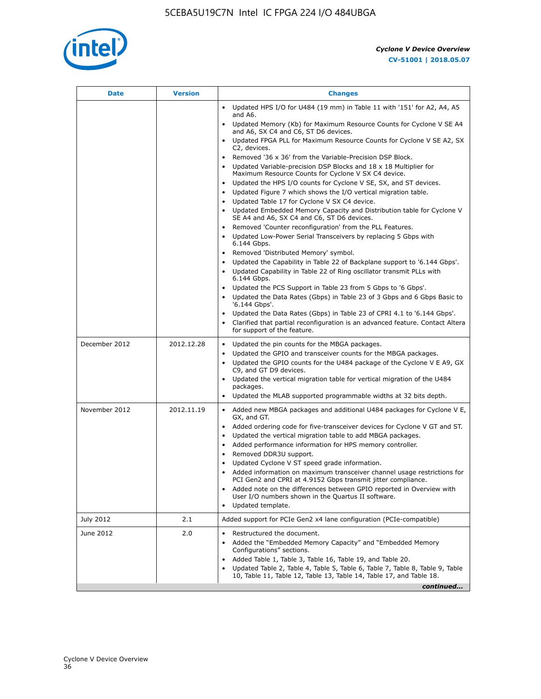

| <b>Date</b>   | <b>Version</b> | <b>Changes</b>                                                                                                                                                                                                                                                                                                                                                                                                                                                                                                                                                                                                                                                                                                                                                                                                                                                                                                                                                                                                                                                                                                                                                                                                                  |
|---------------|----------------|---------------------------------------------------------------------------------------------------------------------------------------------------------------------------------------------------------------------------------------------------------------------------------------------------------------------------------------------------------------------------------------------------------------------------------------------------------------------------------------------------------------------------------------------------------------------------------------------------------------------------------------------------------------------------------------------------------------------------------------------------------------------------------------------------------------------------------------------------------------------------------------------------------------------------------------------------------------------------------------------------------------------------------------------------------------------------------------------------------------------------------------------------------------------------------------------------------------------------------|
|               |                | • Updated HPS I/O for U484 (19 mm) in Table 11 with '151' for A2, A4, A5<br>and A6.<br>Updated Memory (Kb) for Maximum Resource Counts for Cyclone V SE A4                                                                                                                                                                                                                                                                                                                                                                                                                                                                                                                                                                                                                                                                                                                                                                                                                                                                                                                                                                                                                                                                      |
|               |                | and A6, SX C4 and C6, ST D6 devices.<br>• Updated FPGA PLL for Maximum Resource Counts for Cyclone V SE A2, SX                                                                                                                                                                                                                                                                                                                                                                                                                                                                                                                                                                                                                                                                                                                                                                                                                                                                                                                                                                                                                                                                                                                  |
|               |                | C2, devices.<br>Removed '36 x 36' from the Variable-Precision DSP Block.<br>Updated Variable-precision DSP Blocks and 18 x 18 Multiplier for<br>Maximum Resource Counts for Cyclone V SX C4 device.<br>• Updated the HPS I/O counts for Cyclone V SE, SX, and ST devices.<br>Updated Figure 7 which shows the I/O vertical migration table.<br>$\bullet$<br>Updated Table 17 for Cyclone V SX C4 device.<br>$\bullet$<br>• Updated Embedded Memory Capacity and Distribution table for Cyclone V<br>SE A4 and A6, SX C4 and C6, ST D6 devices.<br>Removed 'Counter reconfiguration' from the PLL Features.<br>Updated Low-Power Serial Transceivers by replacing 5 Gbps with<br>6.144 Gbps.<br>Removed 'Distributed Memory' symbol.<br>Updated the Capability in Table 22 of Backplane support to '6.144 Gbps'.<br>Updated Capability in Table 22 of Ring oscillator transmit PLLs with<br>6.144 Gbps.<br>Updated the PCS Support in Table 23 from 5 Gbps to '6 Gbps'.<br>• Updated the Data Rates (Gbps) in Table 23 of 3 Gbps and 6 Gbps Basic to<br>'6.144 Gbps'.<br>Updated the Data Rates (Gbps) in Table 23 of CPRI 4.1 to '6.144 Gbps'.<br>Clarified that partial reconfiguration is an advanced feature. Contact Altera |
| December 2012 | 2012.12.28     | for support of the feature.<br>• Updated the pin counts for the MBGA packages.<br>Updated the GPIO and transceiver counts for the MBGA packages.<br>Updated the GPIO counts for the U484 package of the Cyclone V E A9, GX<br>C9, and GT D9 devices.                                                                                                                                                                                                                                                                                                                                                                                                                                                                                                                                                                                                                                                                                                                                                                                                                                                                                                                                                                            |
|               |                | • Updated the vertical migration table for vertical migration of the U484<br>packages.<br>• Updated the MLAB supported programmable widths at 32 bits depth.                                                                                                                                                                                                                                                                                                                                                                                                                                                                                                                                                                                                                                                                                                                                                                                                                                                                                                                                                                                                                                                                    |
| November 2012 | 2012.11.19     | • Added new MBGA packages and additional U484 packages for Cyclone V E,<br>GX, and GT.<br>• Added ordering code for five-transceiver devices for Cyclone V GT and ST.<br>Updated the vertical migration table to add MBGA packages.<br>Added performance information for HPS memory controller.<br>$\bullet$<br>Removed DDR3U support.<br>Updated Cyclone V ST speed grade information.<br>Added information on maximum transceiver channel usage restrictions for<br>PCI Gen2 and CPRI at 4.9152 Gbps transmit jitter compliance.<br>Added note on the differences between GPIO reported in Overview with<br>٠<br>User I/O numbers shown in the Quartus II software.<br>Updated template.                                                                                                                                                                                                                                                                                                                                                                                                                                                                                                                                      |
| July 2012     | 2.1            | Added support for PCIe Gen2 x4 lane configuration (PCIe-compatible)                                                                                                                                                                                                                                                                                                                                                                                                                                                                                                                                                                                                                                                                                                                                                                                                                                                                                                                                                                                                                                                                                                                                                             |
| June 2012     | 2.0            | Restructured the document.<br>Added the "Embedded Memory Capacity" and "Embedded Memory<br>Configurations" sections.<br>Added Table 1, Table 3, Table 16, Table 19, and Table 20.<br>Updated Table 2, Table 4, Table 5, Table 6, Table 7, Table 8, Table 9, Table<br>10, Table 11, Table 12, Table 13, Table 14, Table 17, and Table 18.                                                                                                                                                                                                                                                                                                                                                                                                                                                                                                                                                                                                                                                                                                                                                                                                                                                                                        |
|               |                | continued                                                                                                                                                                                                                                                                                                                                                                                                                                                                                                                                                                                                                                                                                                                                                                                                                                                                                                                                                                                                                                                                                                                                                                                                                       |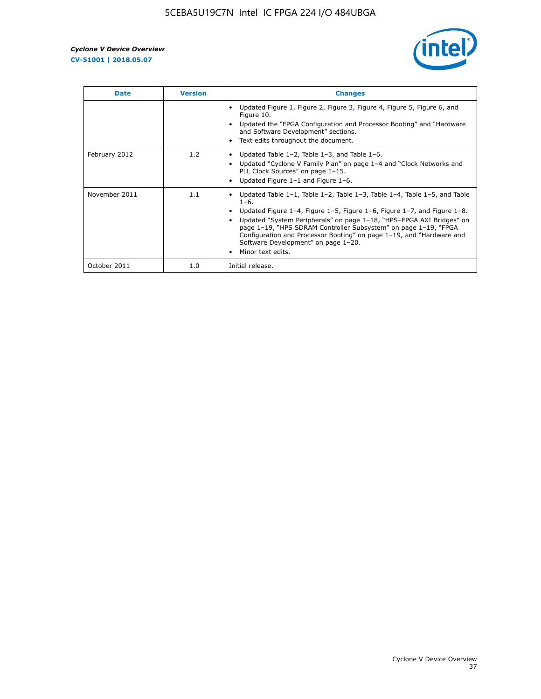

| <b>Date</b>   | <b>Version</b> | <b>Changes</b>                                                                                                                                                                                                                                                                                                                                                                                                                                                                          |
|---------------|----------------|-----------------------------------------------------------------------------------------------------------------------------------------------------------------------------------------------------------------------------------------------------------------------------------------------------------------------------------------------------------------------------------------------------------------------------------------------------------------------------------------|
|               |                | Updated Figure 1, Figure 2, Figure 3, Figure 4, Figure 5, Figure 6, and<br>Figure 10.<br>Updated the "FPGA Configuration and Processor Booting" and "Hardware"<br>and Software Development" sections.<br>Text edits throughout the document.                                                                                                                                                                                                                                            |
| February 2012 | 1.2            | Updated Table $1-2$ , Table $1-3$ , and Table $1-6$ .<br>$\bullet$<br>Updated "Cyclone V Family Plan" on page 1-4 and "Clock Networks and<br>PLL Clock Sources" on page 1-15.<br>Updated Figure 1-1 and Figure 1-6.                                                                                                                                                                                                                                                                     |
| November 2011 | 1.1            | Updated Table $1-1$ , Table $1-2$ , Table $1-3$ , Table $1-4$ , Table $1-5$ , and Table<br>$\bullet$<br>$1 - 6.$<br>Updated Figure 1–4, Figure 1–5, Figure 1–6, Figure 1–7, and Figure 1–8.<br>Updated "System Peripherals" on page 1-18, "HPS-FPGA AXI Bridges" on<br>page 1-19, "HPS SDRAM Controller Subsystem" on page 1-19, "FPGA<br>Configuration and Processor Booting" on page 1-19, and "Hardware and<br>Software Development" on page 1-20.<br>Minor text edits.<br>$\bullet$ |
| October 2011  | 1.0            | Initial release.                                                                                                                                                                                                                                                                                                                                                                                                                                                                        |